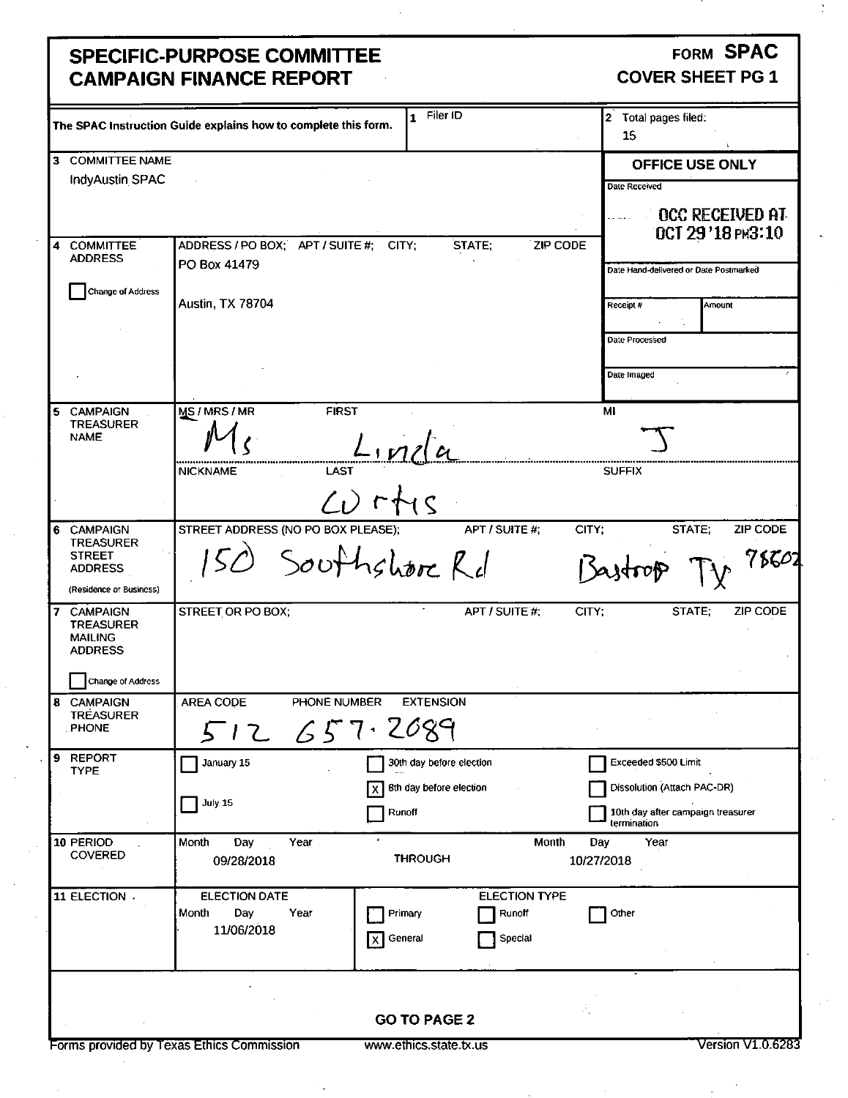### **SPECIFIC-PURPOSE COMMITTEE CAMPAIGN FINANCE REPORT**   $\mathbb{R}^2$

### FORM SPAC COVER SHEET PG 1

|                                            | The SPAC Instruction Guide explains how to complete this form. | 1 Filer ID               |                         | 2 Total pages filed:<br>15                  |
|--------------------------------------------|----------------------------------------------------------------|--------------------------|-------------------------|---------------------------------------------|
|                                            |                                                                |                          |                         |                                             |
| 3 COMMITTEE NAME<br><b>IndyAustin SPAC</b> |                                                                |                          |                         | OFFICE USE ONLY                             |
|                                            |                                                                |                          |                         | Date Received                               |
|                                            |                                                                |                          |                         | <b>OCC RECEIVED AT</b><br>OCT 29 '18 PM3:10 |
| 4 COMMITTEE<br><b>ADDRESS</b>              | ADDRESS / PO BOX; APT / SUITE #; CITY;                         | STATE;                   | ZIP CODE                |                                             |
|                                            | PO Box 41479                                                   |                          |                         | Date Hand-delivered or Date Postmarked      |
| Change of Address                          |                                                                |                          |                         |                                             |
|                                            | <b>Austin, TX 78704</b>                                        |                          |                         | Receipt #<br>Amount                         |
|                                            |                                                                |                          |                         |                                             |
|                                            |                                                                |                          |                         | Date Processed                              |
|                                            |                                                                |                          |                         | Date Imaged                                 |
|                                            |                                                                |                          |                         |                                             |
| <b>CAMPAIGN</b><br>5                       | MS/MRS/MR<br><b>FIRST</b>                                      |                          |                         | MI                                          |
| <b>TREASURER</b>                           |                                                                |                          |                         |                                             |
| <b>NAME</b>                                |                                                                | $L$ , $n$ la             |                         |                                             |
|                                            | <b>LAST</b><br><b>NICKNAME</b>                                 |                          |                         | <b>SUFFIX</b>                               |
|                                            |                                                                |                          |                         |                                             |
|                                            |                                                                | $L$ ) $r + s$            |                         |                                             |
| <b>CAMPAIGN</b><br>6                       | STREET ADDRESS (NO PO BOX PLEASE);                             |                          | APT / SUITE #;<br>CITY: | STATE:<br>ZIP CODE                          |
| <b>TREASURER</b>                           |                                                                |                          |                         |                                             |
| <b>STREET</b><br><b>ADDRESS</b>            |                                                                | Southshore Rd            |                         | 78601                                       |
| (Residence or Business)                    |                                                                |                          |                         |                                             |
| <b>CAMPAIGN</b><br>7                       | STREET OR PO BOX;                                              |                          | APT / SUITE #;<br>CITY; | ZIP CODE<br>STATE:                          |
| <b>TREASURER</b>                           |                                                                |                          |                         |                                             |
| <b>MAILING</b><br><b>ADDRESS</b>           |                                                                |                          |                         |                                             |
|                                            |                                                                |                          |                         |                                             |
| Change of Address                          |                                                                |                          |                         |                                             |
| <b>CAMPAIGN</b><br>8                       | <b>AREA CODE</b><br>PHONE NUMBER                               | <b>EXTENSION</b>         |                         |                                             |
| <b>TREASURER</b><br><b>PHONE</b>           |                                                                | 657.2089                 |                         |                                             |
|                                            | 5<br>12                                                        |                          |                         |                                             |
| <b>REPORT</b><br>9<br><b>TYPE</b>          | January 15                                                     | 30th day before election |                         | Exceeded \$500 Limit                        |
|                                            |                                                                | Bth day before election  |                         | Dissolution (Attach PAC-DR)                 |
|                                            | July 15                                                        |                          |                         | 10th day after campaign treasurer           |
|                                            |                                                                | Runoff                   |                         | termination                                 |
| 10 PERIOD                                  | Month<br>Day<br>Year                                           |                          | Month<br>Day            | Year                                        |
| <b>COVERED</b>                             | 09/28/2018                                                     | <b>THROUGH</b>           | 10/27/2018              |                                             |
|                                            |                                                                |                          |                         |                                             |
| 11 ELECTION .                              | ELECTION DATE                                                  |                          | <b>ELECTION TYPE</b>    |                                             |
|                                            | Day<br>Month<br>Year<br>11/06/2018                             | Primary                  | Runoff                  | Other                                       |
|                                            |                                                                | General<br>xΙ            | Special                 |                                             |
|                                            |                                                                |                          |                         |                                             |
|                                            |                                                                |                          |                         |                                             |
|                                            |                                                                |                          | A,                      |                                             |
|                                            |                                                                | <b>GO TO PAGE 2</b>      |                         |                                             |
|                                            | Forms provided by Texas Ethics Commission                      | www.ethics.state.tx.us   |                         | Version V1 0.6283                           |
|                                            |                                                                |                          |                         |                                             |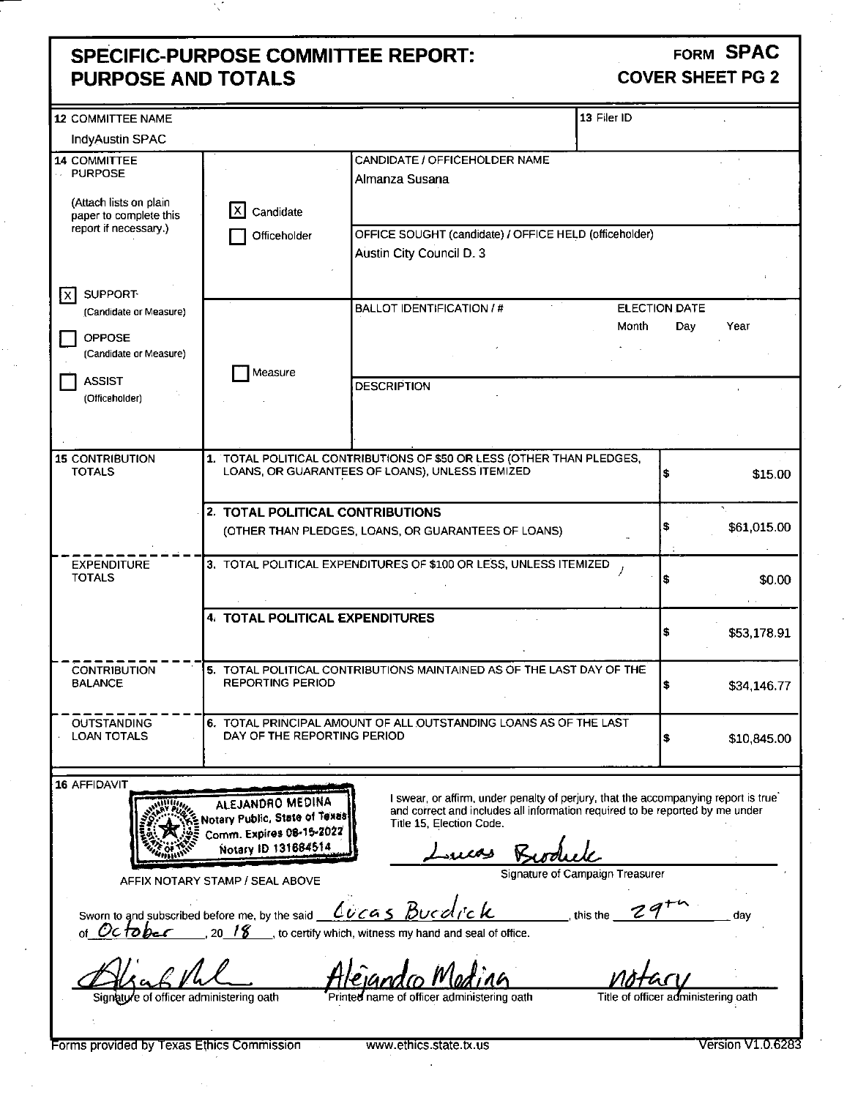### **SPECIFIC-PURPOSE COMMITTEE REPORT: PURPOSE AND TOTALS**

### FORM SPAC COVER SHEET PG 2

| <b>12 COMMITTEE NAME</b>                         |                                                   |                                                                                    | 13 Filer ID |                                     |                   |
|--------------------------------------------------|---------------------------------------------------|------------------------------------------------------------------------------------|-------------|-------------------------------------|-------------------|
| <b>IndyAustin SPAC</b>                           |                                                   |                                                                                    |             |                                     |                   |
| <b>14 COMMITTEE</b>                              |                                                   | CANDIDATE / OFFICEHOLDER NAME                                                      |             |                                     |                   |
| <b>PURPOSE</b>                                   |                                                   | Almanza Susana                                                                     |             |                                     |                   |
|                                                  |                                                   |                                                                                    |             |                                     |                   |
| (Attach lists on plain<br>paper to complete this | Candidate                                         |                                                                                    |             |                                     |                   |
| report if necessary.)                            |                                                   | OFFICE SOUGHT (candidate) / OFFICE HELD (officeholder)                             |             |                                     |                   |
|                                                  | Officeholder                                      |                                                                                    |             |                                     |                   |
|                                                  |                                                   | Austin City Council D. 3                                                           |             |                                     |                   |
|                                                  |                                                   |                                                                                    |             |                                     |                   |
| <b>SUPPORT</b><br>ţx∣                            |                                                   |                                                                                    |             |                                     |                   |
| (Candidate or Measure)                           |                                                   | <b>BALLOT IDENTIFICATION / #</b>                                                   |             | <b>ELECTION DATE</b>                |                   |
| OPPOSE                                           |                                                   |                                                                                    | Month       | Day                                 | Year              |
| (Candidate or Measure)                           |                                                   |                                                                                    |             |                                     |                   |
|                                                  | Measure                                           |                                                                                    |             |                                     |                   |
| <b>ASSIST</b>                                    |                                                   | <b>DESCRIPTION</b>                                                                 |             |                                     |                   |
| (Officeholder)                                   |                                                   |                                                                                    |             |                                     |                   |
|                                                  |                                                   |                                                                                    |             |                                     |                   |
|                                                  |                                                   |                                                                                    |             |                                     |                   |
| <b>15 CONTRIBUTION</b>                           |                                                   | 1. TOTAL POLITICAL CONTRIBUTIONS OF \$50 OR LESS (OTHER THAN PLEDGES,              |             |                                     |                   |
| <b>TOTALS</b>                                    |                                                   | LOANS, OR GUARANTEES OF LOANS), UNLESS ITEMIZED                                    |             | Ś.                                  | \$15.00           |
|                                                  |                                                   |                                                                                    |             |                                     |                   |
|                                                  | 2. TOTAL POLITICAL CONTRIBUTIONS                  |                                                                                    |             |                                     |                   |
|                                                  |                                                   | (OTHER THAN PLEDGES, LOANS, OR GUARANTEES OF LOANS)                                |             |                                     | \$61,015.00       |
|                                                  |                                                   |                                                                                    |             |                                     |                   |
| <b>EXPENDITURE</b>                               |                                                   | 3. TOTAL POLITICAL EXPENDITURES OF \$100 OR LESS, UNLESS ITEMIZED                  |             |                                     |                   |
| <b>TOTALS</b>                                    |                                                   |                                                                                    |             |                                     | \$0.00            |
|                                                  |                                                   |                                                                                    |             |                                     |                   |
|                                                  | 4. TOTAL POLITICAL EXPENDITURES                   |                                                                                    |             |                                     |                   |
|                                                  |                                                   |                                                                                    |             |                                     | \$53,178.91       |
|                                                  |                                                   |                                                                                    |             |                                     |                   |
| <b>CONTRIBUTION</b>                              |                                                   | 5. TOTAL POLITICAL CONTRIBUTIONS MAINTAINED AS OF THE LAST DAY OF THE              |             |                                     |                   |
| <b>BALANCE</b>                                   | <b>REPORTING PERIOD</b>                           |                                                                                    |             |                                     | \$34,146.77       |
|                                                  |                                                   |                                                                                    |             |                                     |                   |
| <b>OUTSTANDING</b>                               |                                                   | 6. TOTAL PRINCIPAL AMOUNT OF ALL OUTSTANDING LOANS AS OF THE LAST                  |             |                                     |                   |
| <b>LOAN TOTALS</b>                               | DAY OF THE REPORTING PERIOD                       |                                                                                    |             |                                     | \$10,845.00       |
|                                                  |                                                   |                                                                                    |             |                                     |                   |
| 16 AFFIDAVIT                                     |                                                   |                                                                                    |             |                                     |                   |
|                                                  |                                                   | I swear, or affirm, under penalty of perjury, that the accompanying report is true |             |                                     |                   |
|                                                  | ALEJANDRO MEDINA<br>Notary Public, State of Texas | and correct and includes all information required to be reported by me under       |             |                                     |                   |
|                                                  | Comm. Expires 08-15-2022                          | Title 15, Election Code.                                                           |             |                                     |                   |
| mm                                               | Notary ID 131684514                               | $\overline{\phantom{a}}$                                                           |             |                                     |                   |
|                                                  |                                                   | Signature of Campaign Treasurer                                                    |             |                                     |                   |
|                                                  | AFFIX NOTARY STAMP / SEAL ABOVE                   |                                                                                    |             |                                     |                   |
|                                                  |                                                   |                                                                                    |             |                                     |                   |
| Sworn to and subscribed before me, by the said   |                                                   | <u>Lucas Buedick</u>                                                               | this the    |                                     | day               |
| of October                                       | 20/8                                              | to certify which, witness my hand and seal of office.                              |             |                                     |                   |
|                                                  |                                                   |                                                                                    |             |                                     |                   |
|                                                  |                                                   |                                                                                    |             |                                     |                   |
|                                                  |                                                   |                                                                                    |             |                                     |                   |
| Signature of officer administering oath          |                                                   | Printed name of officer administering oath                                         |             | Title of officer administering oath |                   |
|                                                  |                                                   |                                                                                    |             |                                     |                   |
| Forms provided by Texas Ethics Commission        |                                                   | www.ethics.state.tx.us                                                             |             |                                     | Version V1.0.6283 |
|                                                  |                                                   |                                                                                    |             |                                     |                   |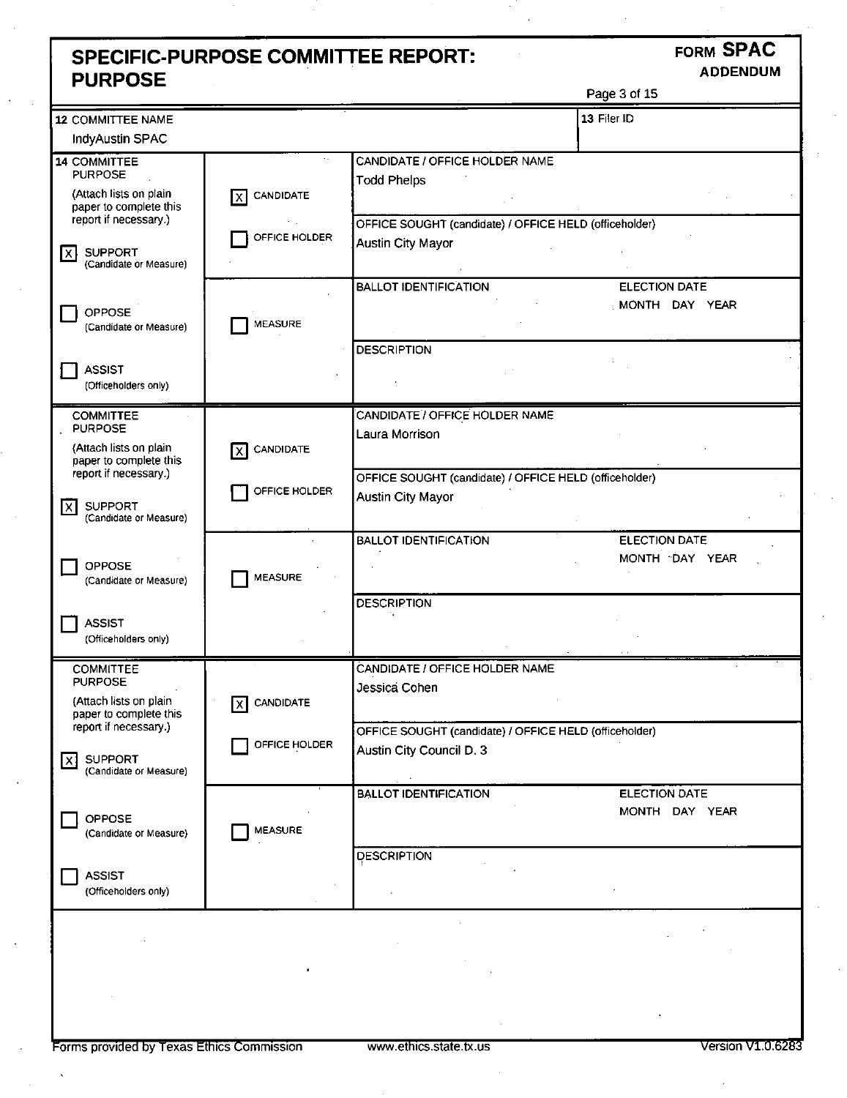### **SPECIFIC-PURPOSE COMMITTEE REPORT: FORM SPAC PURPOSE**

Page 3 of 15

| 12 COMMITTEE NAME                                                   |                  |                                                                             | 13 Filer ID                            |
|---------------------------------------------------------------------|------------------|-----------------------------------------------------------------------------|----------------------------------------|
| <b>IndyAustin SPAC</b>                                              |                  |                                                                             |                                        |
| 14 COMMITTEE<br><b>PURPOSE</b>                                      |                  | CANDIDATE / OFFICE HOLDER NAME<br><b>Todd Phelps</b>                        |                                        |
| (Attach lists on plain<br>paper to complete this                    | CANDIDATE<br>Ixl |                                                                             |                                        |
| report if necessary.)<br><b>SUPPORT</b>                             | OFFICE HOLDER    | OFFICE SOUGHT (candidate) / OFFICE HELD (officeholder)<br>Austin City Mayor |                                        |
| lx.<br>(Candidate or Measure)                                       |                  |                                                                             |                                        |
| <b>OPPOSE</b>                                                       |                  | <b>BALLOT IDENTIFICATION</b>                                                | <b>ELECTION DATE</b><br>MONTH DAY YEAR |
| (Candidate or Measure)                                              | MEASURE          | <b>DESCRIPTION</b>                                                          |                                        |
| <b>ASSIST</b>                                                       |                  |                                                                             |                                        |
| (Officeholders only)                                                |                  |                                                                             |                                        |
| <b>COMMITTEE</b><br><b>PURPOSE</b>                                  |                  | CANDIDATE / OFFICE HOLDER NAME<br>Laura Morrison                            |                                        |
| (Attach lists on plain<br>paper to complete this                    | CANDIDATE<br>IXI |                                                                             |                                        |
| report if necessary.)                                               | OFFICE HOLDER    | OFFICE SOUGHT (candidate) / OFFICE HELD (officeholder)                      |                                        |
| <b>SUPPORT</b><br>$\overline{\mathsf{x}}$<br>(Candidate or Measure) |                  | <b>Austin City Mayor</b>                                                    |                                        |
|                                                                     |                  | <b>BALLOT IDENTIFICATION</b>                                                | <b>ELECTION DATE</b><br>MONTH DAY YEAR |
| <b>OPPOSE</b><br>(Candidate or Measure)                             | <b>MEASURE</b>   |                                                                             |                                        |
|                                                                     |                  | <b>DESCRIPTION</b>                                                          |                                        |
| <b>ASSIST</b><br>(Officeholders only)                               |                  |                                                                             |                                        |
| <b>COMMITTEE</b><br><b>PURPOSE</b>                                  |                  | CANDIDATE / OFFICE HOLDER NAME<br>Jessica Cohen                             |                                        |
| (Attach lists on plain<br>paper to complete this                    | CANDIDATE<br>ΙXΙ |                                                                             |                                        |
| report if necessary.)                                               | OFFICE HOLDER    | OFFICE SOUGHT (candidate) / OFFICE HELD (officeholder)                      |                                        |
| SUPPORT<br>$\mathsf{X}$<br>(Candidate or Measure)                   |                  | Austin City Council D. 3                                                    |                                        |
|                                                                     |                  | <b>BALLOT IDENTIFICATION</b>                                                | <b>ELECTION DATE</b><br>MONTH DAY YEAR |
| OPPOSE<br>(Candidate or Measure)                                    | <b>MEASURE</b>   |                                                                             |                                        |
|                                                                     |                  | DESCRIPTION                                                                 |                                        |
| <b>ASSIST</b><br>(Officeholders only)                               |                  |                                                                             |                                        |
|                                                                     |                  |                                                                             |                                        |
|                                                                     |                  |                                                                             |                                        |
|                                                                     |                  |                                                                             |                                        |
|                                                                     |                  |                                                                             |                                        |
|                                                                     |                  |                                                                             |                                        |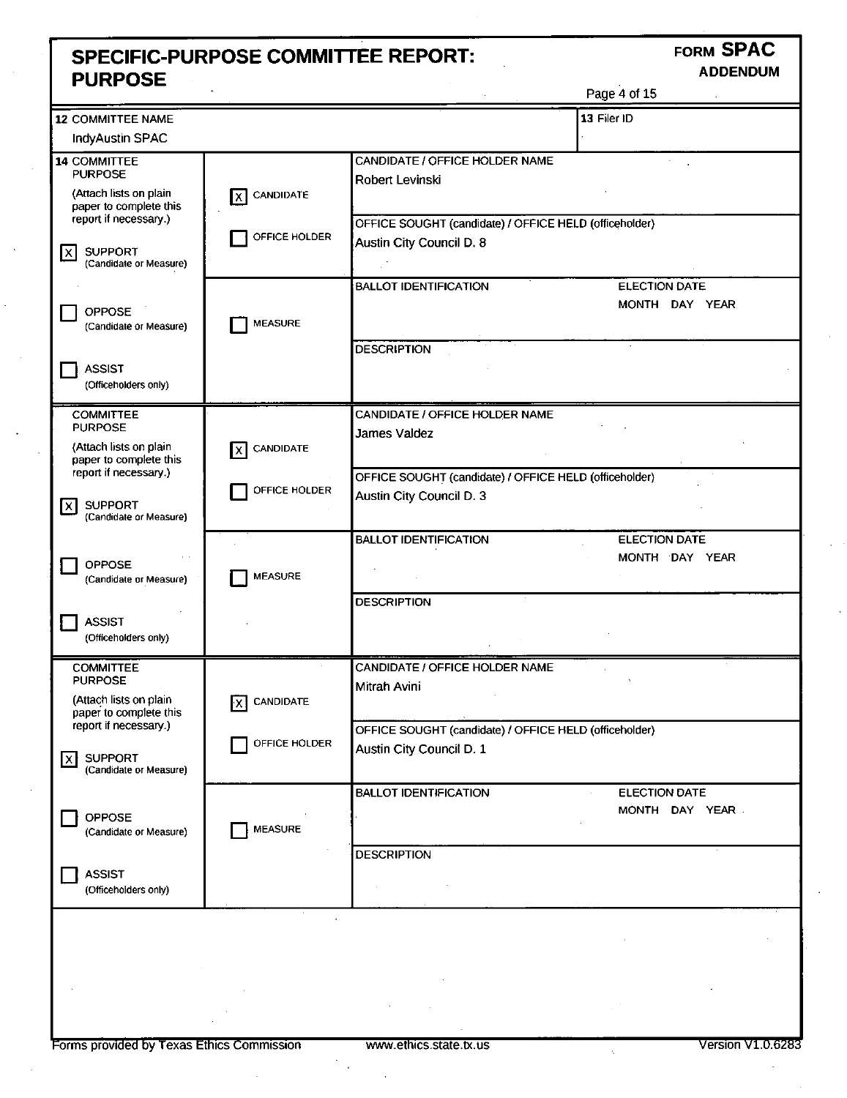### **SPECIFIC-PURPOSE COMMITTEE REPORT: FORM SPAC PURPOSE**

|                                                                                                                       |                              |                                                                                    | Page 4 of 15                           |
|-----------------------------------------------------------------------------------------------------------------------|------------------------------|------------------------------------------------------------------------------------|----------------------------------------|
| <b>12 COMMITTEE NAME</b>                                                                                              |                              |                                                                                    | 13 Filer ID                            |
| <b>IndyAustin SPAC</b>                                                                                                |                              |                                                                                    |                                        |
| 14 COMMITTEE<br><b>PURPOSE</b><br>(Attach lists on plain<br>paper to complete this                                    | CANDIDATE<br>x               | CANDIDATE / OFFICE HOLDER NAME<br>Robert Levinski                                  |                                        |
| report if necessary.)<br><b>SUPPORT</b><br>Ixl<br>(Candidate or Measure)                                              | OFFICE HOLDER                | OFFICE SOUGHT (candidate) / OFFICE HELD (officeholder)<br>Austin City Council D. 8 |                                        |
| <b>OPPOSE</b><br>(Candidate or Measure)                                                                               | <b>MEASURE</b>               | <b>BALLOT IDENTIFICATION</b>                                                       | <b>ELECTION DATE</b><br>MONTH DAY YEAR |
| <b>ASSIST</b><br>(Officeholders only)                                                                                 |                              | <b>DESCRIPTION</b>                                                                 |                                        |
| <b>COMMITTEE</b><br><b>PURPOSE</b><br>(Attach lists on plain                                                          | <b>CANDIDATE</b><br>$\times$ | CANDIDATE / OFFICE HOLDER NAME<br>James Valdez                                     |                                        |
| paper to complete this<br>report if necessary.)<br><b>SUPPORT</b><br>$\mathsf{I}\mathsf{x}$<br>(Candidate or Measure) | OFFICE HOLDER                | OFFICE SOUGHT (candidate) / OFFICE HELD (officeholder)<br>Austin City Council D. 3 |                                        |
| OPPOSE<br>(Candidate or Measure)                                                                                      | <b>MEASURE</b>               | <b>BALLOT IDENTIFICATION</b><br><b>DESCRIPTION</b>                                 | <b>ELECTION DATE</b><br>MONTH DAY YEAR |
| <b>ASSIST</b><br>(Officeholders only)                                                                                 |                              |                                                                                    |                                        |
| <b>COMMITTEE</b><br><b>PURPOSE</b><br>(Attach lists on plain<br>paper to complete this                                | <b>CANDIDATE</b><br>ŀx I     | CANDIDATE / OFFICE HOLDER NAME<br>Mitrah Avini                                     |                                        |
| report if necessary.)<br><b>SUPPORT</b><br>lx l<br>(Candidate or Measure)                                             | OFFICE HOLDER                | OFFICE SOUGHT (candidate) / OFFICE HELD (officeholder)<br>Austin City Council D. 1 |                                        |
| OPPOSE<br>(Candidate or Measure)                                                                                      | <b>MEASURE</b>               | <b>BALLOT IDENTIFICATION</b>                                                       | <b>ELECTION DATE</b><br>MONTH DAY YEAR |
| <b>ASSIST</b><br>(Officeholders only)                                                                                 |                              | <b>DESCRIPTION</b>                                                                 |                                        |
|                                                                                                                       |                              |                                                                                    |                                        |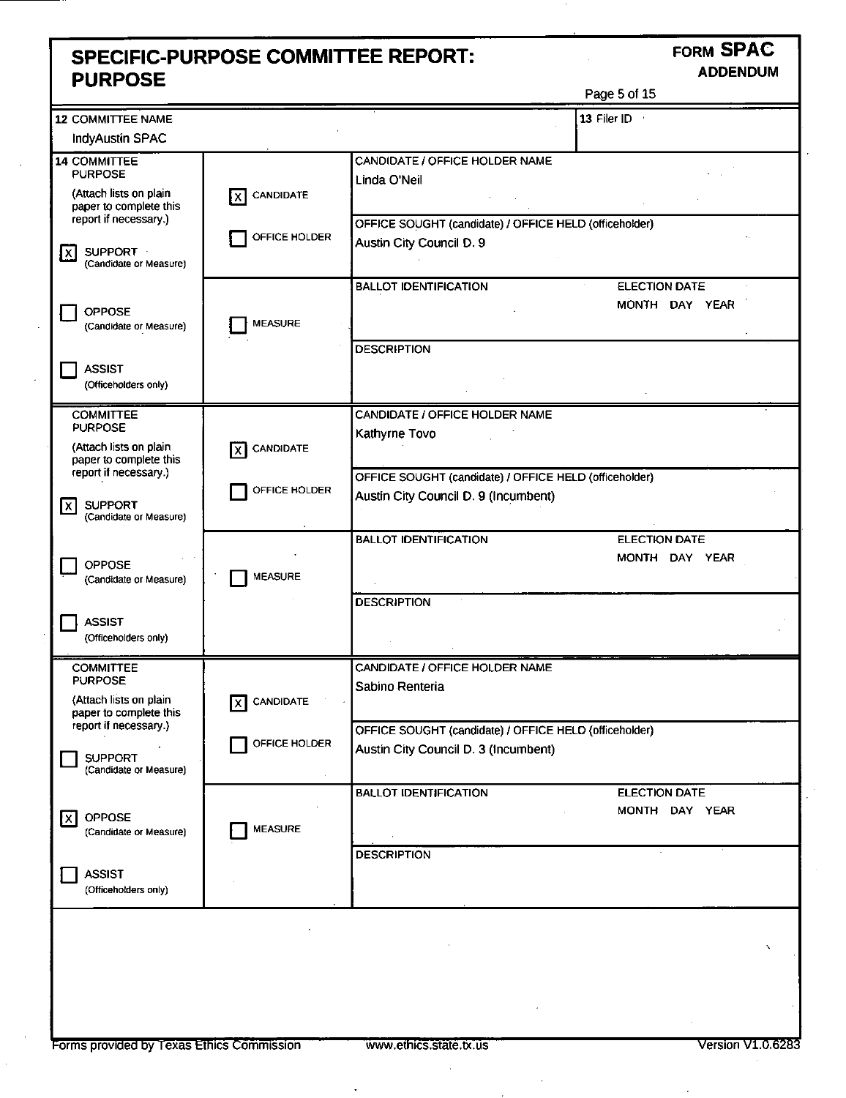## **SPECIFIC-PURPOSE COMMITTEE REPORT: FORM SPAC PURPOSE**

| . .<br>Οt<br>.<br>Æ |
|---------------------|
|---------------------|

| <b>12 COMMITTEE NAME</b>                                            |                         |                                                                                                | 13 Filer ID                            |
|---------------------------------------------------------------------|-------------------------|------------------------------------------------------------------------------------------------|----------------------------------------|
| <b>IndyAustin SPAC</b>                                              |                         |                                                                                                |                                        |
| <b>14 COMMITTEE</b><br><b>PURPOSE</b>                               |                         | CANDIDATE / OFFICE HOLDER NAME<br>Linda O'Neil                                                 |                                        |
| (Attach lists on plain<br>paper to complete this                    | CANDIDATE<br>lx I       |                                                                                                |                                        |
| report if necessary.)<br>SUPPORT -<br>1xI<br>(Candidate or Measure) | OFFICE HOLDER           | OFFICE SOUGHT (candidate) / OFFICE HELD (officeholder)<br>Austin City Council D. 9             |                                        |
|                                                                     |                         | <b>BALLOT IDENTIFICATION</b>                                                                   | <b>ELECTION DATE</b>                   |
| <b>OPPOSE</b><br>(Candidate or Measure)                             | <b>MEASURE</b>          |                                                                                                | MONTH DAY YEAR                         |
| <b>ASSIST</b><br>(Officeholders only)                               |                         | <b>DESCRIPTION</b>                                                                             |                                        |
| <b>COMMITTEE</b>                                                    |                         | CANDIDATE / OFFICE HOLDER NAME                                                                 |                                        |
| <b>PURPOSE</b><br>(Attach lists on plain<br>paper to complete this  | CANDIDATE<br>x          | Kathyrne Tovo                                                                                  |                                        |
| report if necessary.)                                               | OFFICE HOLDER           | OFFICE SOUGHT (candidate) / OFFICE HELD (officeholder)                                         |                                        |
| <b>SUPPORT</b><br>lxl<br>(Candidate or Measure)                     |                         | Austin City Council D. 9 (Incumbent)                                                           |                                        |
| OPPOSE<br>(Candidate or Measure)                                    | <b>MEASURE</b>          | <b>BALLOT IDENTIFICATION</b>                                                                   | <b>ELECTION DATE</b><br>MONTH DAY YEAR |
| <b>ASSIST</b><br>(Officeholders only)                               |                         | <b>DESCRIPTION</b>                                                                             |                                        |
| <b>COMMITTEE</b><br><b>PURPOSE</b>                                  |                         | CANDIDATE / OFFICE HOLDER NAME                                                                 |                                        |
| (Attach lists on plain<br>paper to complete this                    | <b>CANDIDATE</b><br>lxI | Sabino Renteria                                                                                |                                        |
| report if necessary.)<br><b>SUPPORT</b><br>(Candidate or Measure)   | OFFICE HOLDER           | OFFICE SOUGHT (candidate) / OFFICE HELD (officeholder)<br>Austin City Council D. 3 (Incumbent) |                                        |
| OPPOSE<br>I×I<br>(Candidate or Measure)                             | <b>MEASURE</b>          | <b>BALLOT IDENTIFICATION</b>                                                                   | <b>ELECTION DATE</b><br>MONTH DAY YEAR |
| <b>ASSIST</b><br>(Officeholders only)                               |                         | <b>DESCRIPTION</b>                                                                             |                                        |
|                                                                     |                         |                                                                                                | x                                      |

 $\ddot{\phantom{a}}$ 

 $\ddot{\phantom{a}}$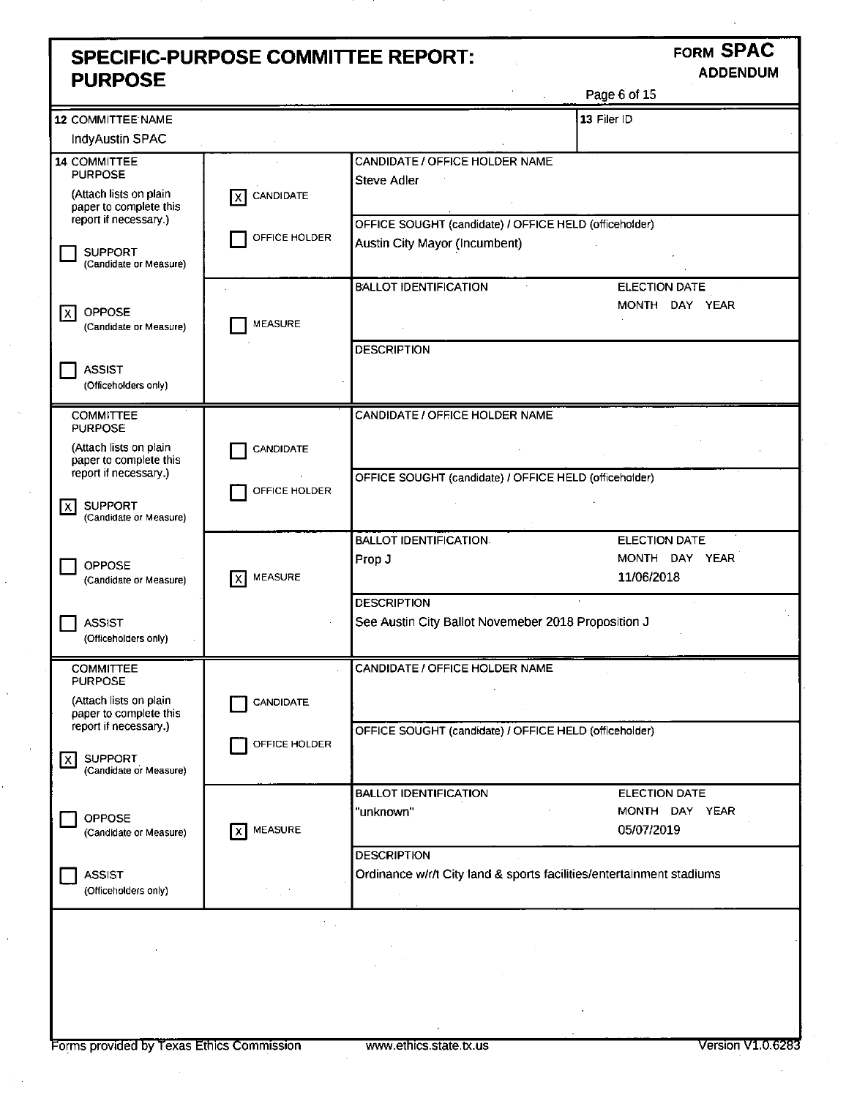### **SPECIFIC-PURPOSE COMMITTEE REPORT: FORM SPAC**<br>**PLIPPOSE** ADDENDUM **PURPOSE**

Page 6 of 15

|                                                                           |                       |                                                                                         | . ugu v v. 20        |
|---------------------------------------------------------------------------|-----------------------|-----------------------------------------------------------------------------------------|----------------------|
| 12 COMMITTEE NAME                                                         |                       |                                                                                         | 13 Filer ID          |
| IndyAustin SPAC                                                           |                       |                                                                                         |                      |
| 14 COMMITTEE<br><b>PURPOSE</b>                                            |                       | CANDIDATE / OFFICE HOLDER NAME<br><b>Steve Adler</b>                                    |                      |
| (Attach lists on plain<br>paper to complete this<br>report if necessary.) | CANDIDATE<br>lx I     |                                                                                         |                      |
| <b>SUPPORT</b><br>(Candidate or Measure)                                  | OFFICE HOLDER         | OFFICE SOUGHT (candidate) / OFFICE HELD (officeholder)<br>Austin City Mayor (Incumbent) |                      |
|                                                                           |                       | <b>BALLOT IDENTIFICATION</b>                                                            | <b>ELECTION DATE</b> |
| <b>OPPOSE</b><br>IX.<br>(Candidate or Measure)                            | <b>MEASURE</b>        |                                                                                         | MONTH DAY YEAR       |
|                                                                           |                       | <b>DESCRIPTION</b>                                                                      |                      |
| <b>ASSIST</b><br>(Officeholders only)                                     |                       |                                                                                         |                      |
| <b>COMMITTEE</b>                                                          |                       | CANDIDATE / OFFICE HOLDER NAME                                                          |                      |
| <b>PURPOSE</b>                                                            |                       |                                                                                         |                      |
| (Attach lists on plain<br>paper to complete this                          | <b>CANDIDATE</b>      |                                                                                         |                      |
| report if necessary.)                                                     | OFFICE HOLDER         | OFFICE SOUGHT (candidate) / OFFICE HELD (officeholder)                                  |                      |
| <b>SUPPORT</b><br>x<br>(Candidate or Measure)                             |                       |                                                                                         |                      |
|                                                                           |                       | <b>BALLOT IDENTIFICATION.</b>                                                           | <b>ELECTION DATE</b> |
| <b>OPPOSE</b>                                                             |                       | Prop J                                                                                  | MONTH DAY YEAR       |
| (Candidate or Measure)                                                    | <b>MEASURE</b><br>lx١ |                                                                                         | 11/06/2018           |
|                                                                           |                       | <b>DESCRIPTION</b>                                                                      |                      |
| <b>ASSIST</b><br>(Officeholders only)                                     |                       | See Austin City Ballot Novemeber 2018 Proposition J                                     |                      |
| <b>COMMITTEE</b>                                                          |                       | CANDIDATE / OFFICE HOLDER NAME                                                          |                      |
| <b>PURPOSE</b>                                                            |                       |                                                                                         |                      |
| (Attach lists on plain<br>paper to complete this                          | <b>CANDIDATE</b>      |                                                                                         |                      |
| report if necessary.)                                                     |                       | OFFICE SOUGHT (candidate) / OFFICE HELD (officeholder)                                  |                      |
| <b>SUPPORT</b><br>ΙX.                                                     | OFFICE HOLDER         |                                                                                         |                      |
| (Candidate or Measure)                                                    |                       |                                                                                         |                      |
|                                                                           |                       | <b>BALLOT IDENTIFICATION</b>                                                            | ELECTION DATE        |
| OPPOSE                                                                    |                       | "unknown"                                                                               | MONTH DAY YEAR       |
| (Candidate or Measure)                                                    | <b>MEASURE</b><br>χI  |                                                                                         | 05/07/2019           |
|                                                                           |                       | <b>DESCRIPTION</b>                                                                      |                      |
| <b>ASSIST</b><br>(Officeholders only)                                     |                       | Ordinance w/r/t City land & sports facilities/entertainment stadiums                    |                      |
|                                                                           |                       |                                                                                         |                      |
|                                                                           |                       |                                                                                         |                      |
|                                                                           |                       |                                                                                         |                      |
|                                                                           |                       |                                                                                         |                      |
|                                                                           |                       |                                                                                         |                      |
|                                                                           |                       |                                                                                         |                      |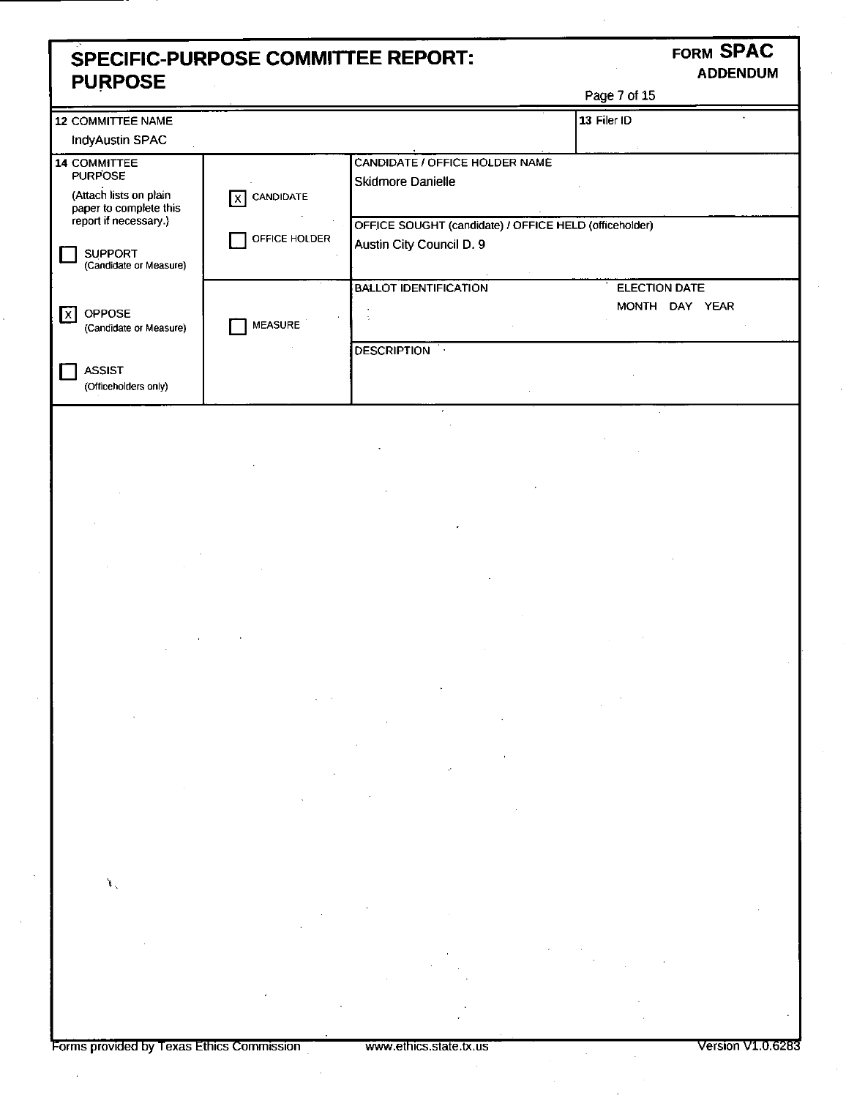### **SPECIFIC-PURPOSE COMMITTEE REPORT: FORM SPAC**<br>**PURPOSE** ADDENDUM **PURPOSE**

|                                                                                                                                                                  |                                   |                                                                                                                                                                                                                                                                                                                                                                                                                      | Page 7 of 15                           |
|------------------------------------------------------------------------------------------------------------------------------------------------------------------|-----------------------------------|----------------------------------------------------------------------------------------------------------------------------------------------------------------------------------------------------------------------------------------------------------------------------------------------------------------------------------------------------------------------------------------------------------------------|----------------------------------------|
| <b>12 COMMITTEE NAME</b>                                                                                                                                         |                                   |                                                                                                                                                                                                                                                                                                                                                                                                                      | 13 Filer ID                            |
| <b>IndyAustin SPAC</b>                                                                                                                                           |                                   |                                                                                                                                                                                                                                                                                                                                                                                                                      |                                        |
| 14 COMMITTEE<br><b>PURPOSE</b><br>(Attach lists on plain<br>paper to complete this<br>report if necessary.)<br><b>SUPPORT</b>                                    | CANDIDATE<br>ΙXΙ<br>OFFICE HOLDER | CANDIDATE / OFFICE HOLDER NAME<br>Skidmore Danielle<br>OFFICE SOUGHT (candidate) / OFFICE HELD (officeholder)<br>Austin City Council D. 9                                                                                                                                                                                                                                                                            |                                        |
| (Candidate or Measure)                                                                                                                                           |                                   |                                                                                                                                                                                                                                                                                                                                                                                                                      |                                        |
| OPPOSE<br>l X<br>(Candidate or Measure)                                                                                                                          | <b>MEASURE</b>                    | <b>BALLOT IDENTIFICATION</b>                                                                                                                                                                                                                                                                                                                                                                                         | <b>ELECTION DATE</b><br>MONTH DAY YEAR |
| <b>ASSIST</b><br>(Officeholders only)                                                                                                                            |                                   | <b>DESCRIPTION</b>                                                                                                                                                                                                                                                                                                                                                                                                   |                                        |
|                                                                                                                                                                  |                                   |                                                                                                                                                                                                                                                                                                                                                                                                                      |                                        |
|                                                                                                                                                                  |                                   |                                                                                                                                                                                                                                                                                                                                                                                                                      |                                        |
|                                                                                                                                                                  |                                   |                                                                                                                                                                                                                                                                                                                                                                                                                      |                                        |
|                                                                                                                                                                  |                                   |                                                                                                                                                                                                                                                                                                                                                                                                                      |                                        |
|                                                                                                                                                                  |                                   | $\mathcal{L}(\mathcal{L}(\mathcal{L}))$ and $\mathcal{L}(\mathcal{L}(\mathcal{L}))$ and $\mathcal{L}(\mathcal{L}(\mathcal{L}))$ . The contribution of $\mathcal{L}(\mathcal{L})$<br>a de la construcción de la construcción de la construcción de la construcción de la construcción de la constru<br>En 1930, el construcción de la construcción de la construcción de la construcción de la construcción de la con |                                        |
| $\mathbf{L}_{\mathrm{in}}$<br>$\mathcal{L}(\mathcal{L}^{\mathcal{L}})$ and $\mathcal{L}(\mathcal{L}^{\mathcal{L}})$ and $\mathcal{L}(\mathcal{L}^{\mathcal{L}})$ |                                   |                                                                                                                                                                                                                                                                                                                                                                                                                      |                                        |
|                                                                                                                                                                  |                                   |                                                                                                                                                                                                                                                                                                                                                                                                                      |                                        |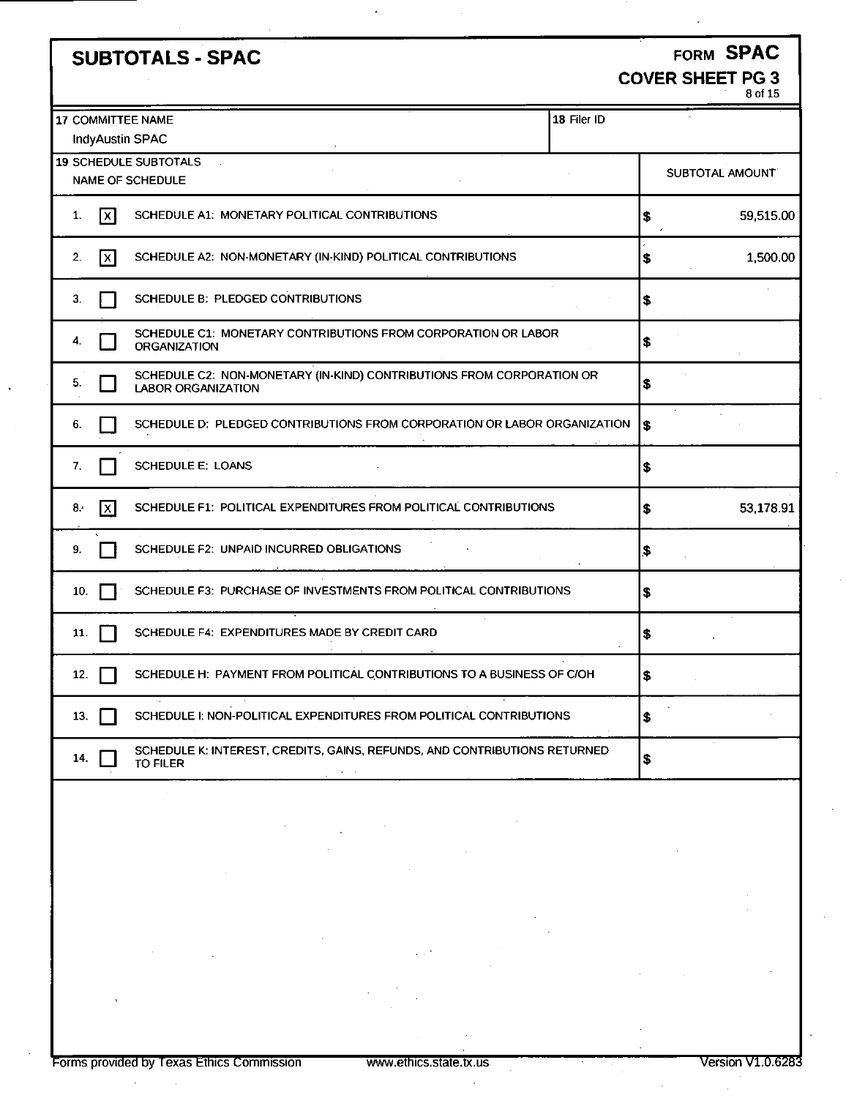| <b>SUBTOTALS - SPAC</b>                                                                                  | FORM SPAC                          |
|----------------------------------------------------------------------------------------------------------|------------------------------------|
|                                                                                                          | <b>COVER SHEET PG 3</b><br>8 of 15 |
| 18 Filer ID<br>17 COMMITTEE NAME<br><b>IndyAustin SPAC</b>                                               |                                    |
| 19 SCHEDULE SUBTOTALS<br>NAME OF SCHEDULE                                                                | SUBTOTAL AMOUNT                    |
| $\mathsf{X}$<br>SCHEDULE A1: MONETARY POLITICAL CONTRIBUTIONS<br>1.                                      | 59,515.00<br> \$                   |
| SCHEDULE A2: NON-MONETARY (IN-KIND) POLITICAL CONTRIBUTIONS<br>2.<br>$\lfloor x \rfloor$                 | \$<br>1,500.00                     |
| SCHEDULE B: PLEDGED CONTRIBUTIONS<br>3.                                                                  | \$                                 |
| SCHEDULE C1: MONETARY CONTRIBUTIONS FROM CORPORATION OR LABOR<br>4.<br><b>ORGANIZATION</b>               | \$                                 |
| SCHEDULE C2: NON-MONETARY (IN-KIND) CONTRIBUTIONS FROM CORPORATION OR<br>5.<br><b>LABOR ORGANIZATION</b> | \$                                 |
| SCHEDULE D: PLEDGED CONTRIBUTIONS FROM CORPORATION OR LABOR ORGANIZATION<br>6.                           | \$                                 |
| <b>SCHEDULE E: LOANS</b><br>7.                                                                           | ∣\$                                |
| SCHEDULE F1: POLITICAL EXPENDITURES FROM POLITICAL CONTRIBUTIONS<br>$\overline{\mathbf{x}}$<br>8.        | 53,178.91<br> \$                   |
| SCHEDULE F2: UNPAID INCURRED OBLIGATIONS<br>9.                                                           | \$                                 |
| SCHEDULE F3: PURCHASE OF INVESTMENTS FROM POLITICAL CONTRIBUTIONS<br>10.                                 | \$                                 |
| SCHEDULE F4: EXPENDITURES MADE BY CREDIT CARD<br>11.                                                     | \$                                 |
| SCHEDULE H: PAYMENT FROM POLITICAL CONTRIBUTIONS TO A BUSINESS OF C/OH<br>12.                            | \$                                 |
| SCHEDULE I: NON-POLITICAL EXPENDITURES FROM POLITICAL CONTRIBUTIONS<br>13.                               | \$                                 |
| SCHEDULE K: INTEREST, CREDITS, GAINS, REFUNDS, AND CONTRIBUTIONS RETURNED<br>14.<br><b>TO FILER</b>      | \$                                 |
|                                                                                                          |                                    |
|                                                                                                          |                                    |

 $\ddot{\phantom{1}}$ 

 $\overline{a}$ 

 $\bar{z}$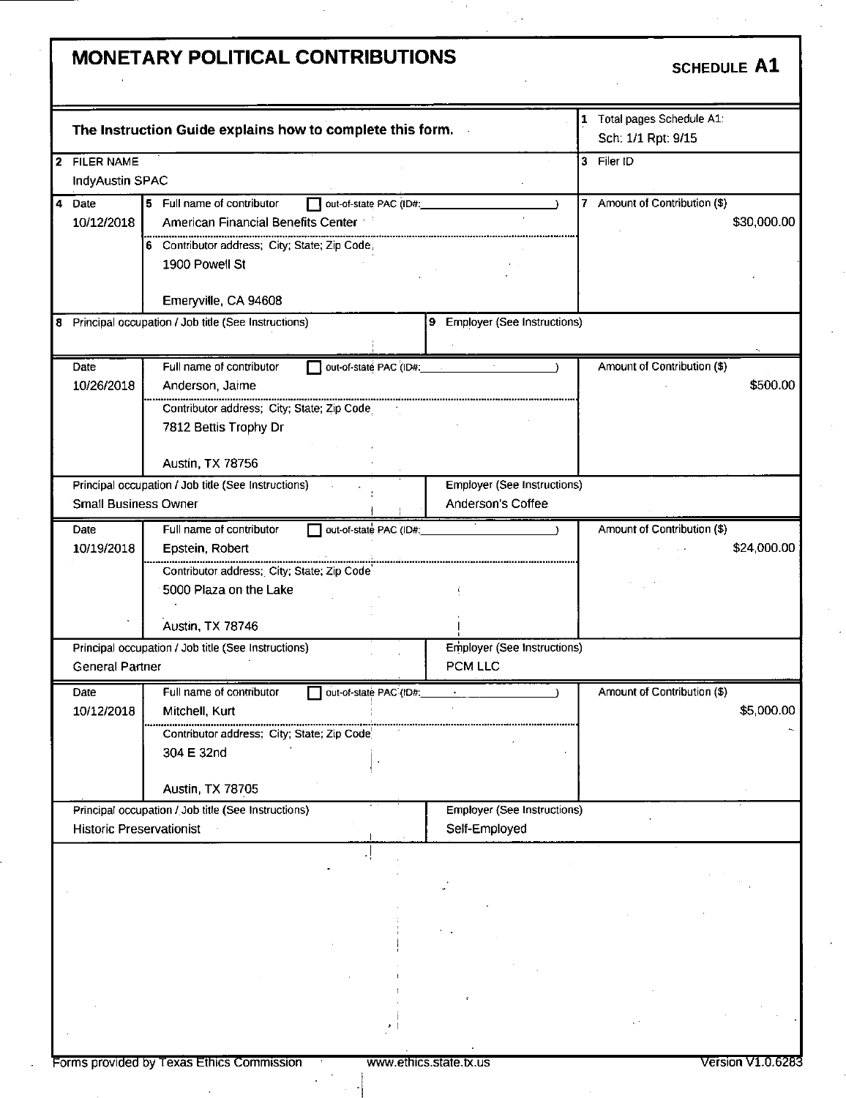# MONETARY POLITICAL CONTRIBUTIONS SCHEDULE A1

|                                 | The Instruction Guide explains how to complete this form.            |                                    | 1 Total pages Schedule A1:<br>Sch: 1/1 Rpt: 9/15 |
|---------------------------------|----------------------------------------------------------------------|------------------------------------|--------------------------------------------------|
| 2 FILER NAME                    |                                                                      |                                    | 3 Filer ID                                       |
| IndyAustin SPAC                 |                                                                      |                                    |                                                  |
| 4 Date                          | 5 Full name of contributor<br>out-of-state PAC (ID#:                 |                                    | 7 Amount of Contribution (\$)                    |
| 10/12/2018                      | American Financial Benefits Center                                   |                                    | \$30,000.00                                      |
|                                 |                                                                      |                                    |                                                  |
|                                 | 6 Contributor address; City; State; Zip Code;                        |                                    |                                                  |
|                                 | 1900 Powell St                                                       |                                    |                                                  |
|                                 |                                                                      |                                    |                                                  |
|                                 | Emeryville, CA 94608                                                 |                                    |                                                  |
|                                 | 8 Principal occupation / Job title (See Instructions)                | 9 Employer (See Instructions)      |                                                  |
|                                 |                                                                      |                                    |                                                  |
| Date                            | Full name of contributor<br>out-of-state PAC (ID#:                   | $\sigma_{\rm{eff}}$                | Amount of Contribution (\$)                      |
| 10/26/2018                      | Anderson, Jaime                                                      |                                    | \$500.00                                         |
|                                 | Contributor address; City; State; Zip Code                           |                                    |                                                  |
|                                 | 7812 Bettis Trophy Dr                                                |                                    |                                                  |
|                                 |                                                                      |                                    |                                                  |
|                                 | Austin, TX 78756                                                     |                                    |                                                  |
|                                 | Principal occupation / Job title (See Instructions)<br>$\mathcal{A}$ | <b>Employer (See Instructions)</b> |                                                  |
| <b>Small Business Owner</b>     |                                                                      | Anderson's Coffee                  |                                                  |
| Date                            | Full name of contributor                                             |                                    | Amount of Contribution (\$)                      |
| 10/19/2018                      | out-of-state PAC (ID#:<br>Epstein, Robert                            |                                    | \$24,000.00                                      |
|                                 |                                                                      |                                    |                                                  |
|                                 | Contributor address; City: State; Zip Code                           |                                    |                                                  |
|                                 | 5000 Plaza on the Lake                                               |                                    |                                                  |
|                                 |                                                                      |                                    |                                                  |
|                                 | Austin, TX 78746                                                     |                                    |                                                  |
|                                 | Principal occupation / Job title (See Instructions)                  | Employer (See Instructions)        |                                                  |
| <b>General Partner</b>          |                                                                      | PCM LLC                            |                                                  |
| Date                            | Full name of contributor<br>out-of-state PAC (ID#:                   |                                    | Amount of Contribution (\$)                      |
| 10/12/2018                      | Mitchell Kurt                                                        |                                    | \$5.000.00 I                                     |
|                                 | Contributor address; City; State; Zip Code                           |                                    |                                                  |
|                                 | 304 E 32nd                                                           |                                    |                                                  |
|                                 |                                                                      |                                    |                                                  |
|                                 | Austin, TX 78705                                                     |                                    |                                                  |
|                                 | Principal occupation / Job title (See Instructions)                  | <b>Employer (See Instructions)</b> |                                                  |
| <b>Historic Preservationist</b> |                                                                      | Self-Employed                      |                                                  |
|                                 |                                                                      |                                    |                                                  |
|                                 |                                                                      |                                    |                                                  |
|                                 |                                                                      |                                    |                                                  |
|                                 |                                                                      |                                    |                                                  |
|                                 |                                                                      |                                    |                                                  |
|                                 |                                                                      |                                    |                                                  |
|                                 |                                                                      |                                    |                                                  |
|                                 |                                                                      |                                    |                                                  |
|                                 |                                                                      |                                    |                                                  |
|                                 |                                                                      |                                    |                                                  |
|                                 |                                                                      |                                    |                                                  |
|                                 |                                                                      |                                    |                                                  |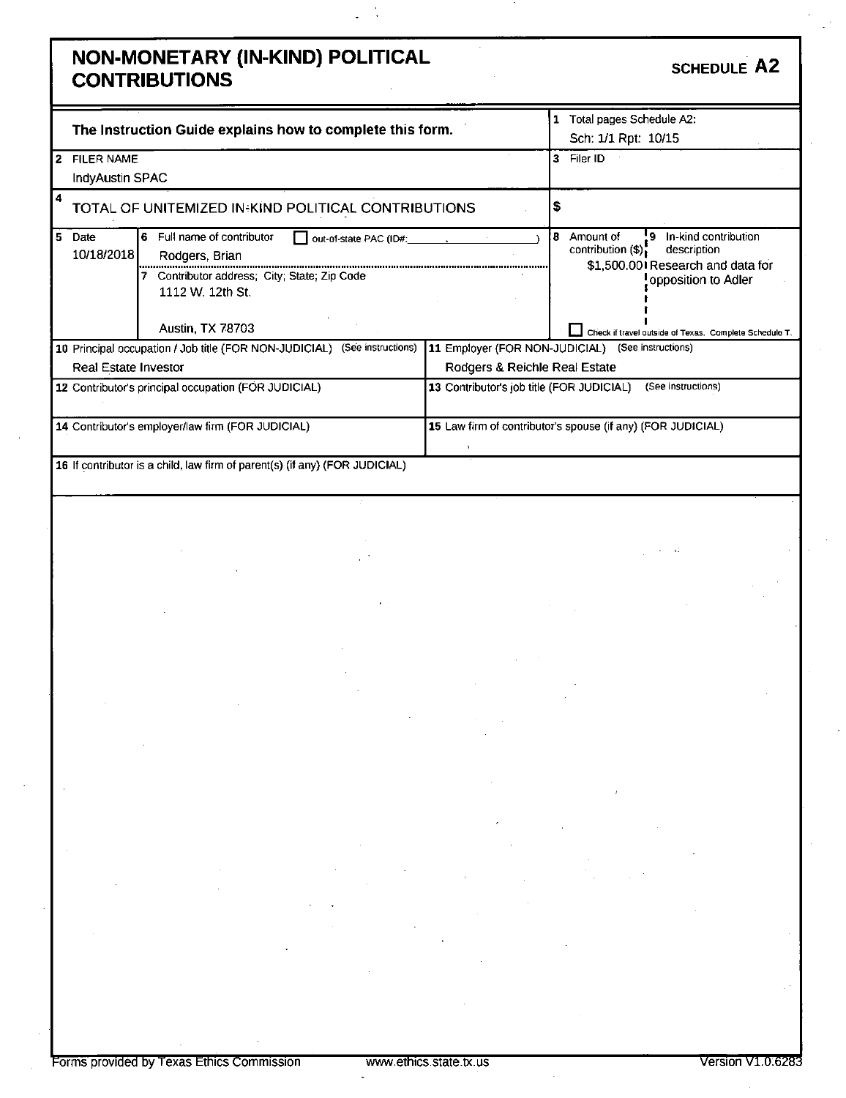### **NON-MONETARY (IN-KIND) POLITICAL CONTRIBUTIONS SCHEDULE A 2**

|    |                      | The Instruction Guide explains how to complete this form.                    |                                                             |    | Total pages Schedule A2:<br>Sch: 1/1 Rpt: 10/15 |                                                                          |
|----|----------------------|------------------------------------------------------------------------------|-------------------------------------------------------------|----|-------------------------------------------------|--------------------------------------------------------------------------|
|    | <b>FILER NAME</b>    |                                                                              |                                                             | 3  | Filer ID                                        |                                                                          |
|    | IndyAustin SPAC      |                                                                              |                                                             |    |                                                 |                                                                          |
| 4  |                      | <b>TOTAL OF UNITEMIZED IN KIND POLITICAL CONTRIBUTIONS</b>                   |                                                             | 5  |                                                 |                                                                          |
| 5. | Date<br>10/18/2018   | Full name of contributor<br>6.<br>Rodgers, Brian                             |                                                             | 8. | Amount of<br>contribution (\$).                 | In-kind contribution<br>description<br>\$1,500.001 Research and data for |
|    |                      | Contributor address; City; State; Zip Code<br>1112 W. 12th St.               |                                                             |    |                                                 | opposition to Adler                                                      |
|    |                      | <b>Austin, TX 78703</b>                                                      |                                                             |    |                                                 | Check if travel outside of Texas. Complete Schedule T.                   |
|    |                      | (See instructions)<br>10 Principal occupation / Job title (FOR NON-JUDICIAL) | 11 Employer (FOR NON-JUDICIAL)                              |    |                                                 | (See instructions)                                                       |
|    | Real Estate Investor |                                                                              | Rodgers & Reichle Real Estate                               |    |                                                 |                                                                          |
|    |                      | 12 Contributor's principal occupation (FOR JUDICIAL)                         | 13 Contributor's job title (FOR JUDICIAL)                   |    |                                                 | (See instructions)                                                       |
|    |                      | 14 Contributor's employer/law firm (FOR JUDICIAL)                            | 15 Law firm of contributor's spouse (if any) (FOR JUDICIAL) |    |                                                 |                                                                          |
|    |                      | 16 If contributor is a child, law firm of parent(s) (if any) (FOR JUDICIAL)  |                                                             |    |                                                 |                                                                          |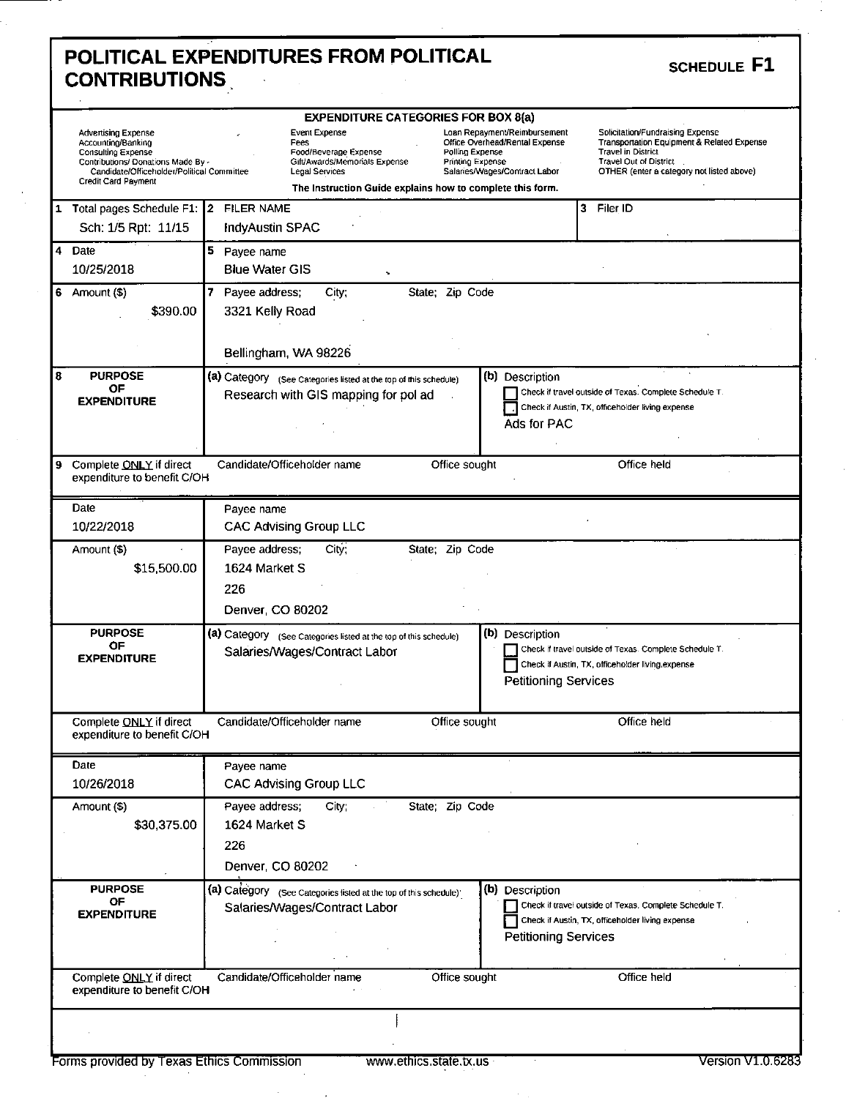| <b>Advertising Expense</b><br>Accounting/Banking<br>Consulting Expense<br>Contributions/ Donations Made By -<br>Candidate/Officeholder/Political Committee<br>Credit Card Payment | <b>EXPENDITURE CATEGORIES FOR BOX 8(a)</b><br><b>Event Expense</b><br>Fees<br>Food/Beverage Expense<br>Gift/Awards/Memorials Expense<br>Legal Services<br>The Instruction Guide explains how to complete this form. | Loan Repayment/Reimbursement<br>Office Overhead/Rental Expense<br>Polling Expense<br><b>Printing Expense</b><br>Salaries/Wages/Contract Labor | Soficitation/Fundraising Expense<br>Transportation Equipment & Related Expense<br><b>Travel in District</b><br>Travel Out of District.<br>OTHER (enter a category not listed above) |
|-----------------------------------------------------------------------------------------------------------------------------------------------------------------------------------|---------------------------------------------------------------------------------------------------------------------------------------------------------------------------------------------------------------------|-----------------------------------------------------------------------------------------------------------------------------------------------|-------------------------------------------------------------------------------------------------------------------------------------------------------------------------------------|
| 1 Total pages Schedule F1: 2 FILER NAME<br>Sch: 1/5 Rpt: 11/15                                                                                                                    | <b>IndyAustin SPAC</b>                                                                                                                                                                                              |                                                                                                                                               | 3 Filer ID                                                                                                                                                                          |
| 4 Date<br>10/25/2018                                                                                                                                                              | 5<br>Payee name<br><b>Blue Water GIS</b>                                                                                                                                                                            |                                                                                                                                               |                                                                                                                                                                                     |
| $6$ Amount $($ \$)<br>\$390.00                                                                                                                                                    | 7<br>Payee address;<br>State; Zip Code<br>City;<br>3321 Kelly Road<br>Bellingham, WA 98226                                                                                                                          |                                                                                                                                               |                                                                                                                                                                                     |
| <b>PURPOSE</b><br>ΟF<br><b>EXPENDITURE</b>                                                                                                                                        | (a) Category (See Categories listed at the top of this schedule)<br>Research with GIS mapping for pol ad                                                                                                            | (b) Description<br>Ads for PAC                                                                                                                | Check if travel outside of Texas. Complete Schedule T.<br>Check if Austin, TX, officeholder living expense                                                                          |
| 9 Complete ONLY if direct<br>expenditure to benefit C/OH                                                                                                                          | Candidate/Officeholder name                                                                                                                                                                                         | Office sought                                                                                                                                 | Office held                                                                                                                                                                         |
| Date<br>10/22/2018                                                                                                                                                                | Payee name<br><b>CAC Advising Group LLC</b>                                                                                                                                                                         |                                                                                                                                               |                                                                                                                                                                                     |
| Amount (\$)<br>\$15,500.00                                                                                                                                                        | Payee address;<br>City;<br>State; Zip Code<br>1624 Market S<br>226<br>Denver, CO 80202                                                                                                                              |                                                                                                                                               |                                                                                                                                                                                     |
|                                                                                                                                                                                   |                                                                                                                                                                                                                     |                                                                                                                                               |                                                                                                                                                                                     |
| <b>PURPOSE</b><br>OF<br><b>EXPENDITURE</b>                                                                                                                                        | (a) Category (See Categories listed at the top of this schedule)<br>Salaries/Wages/Contract Labor                                                                                                                   | (b) Description<br><b>Petitioning Services</b>                                                                                                | Check if travel outside of Texas. Complete Schedule T.<br>Check if Austin, TX, officeholder living expense                                                                          |
|                                                                                                                                                                                   | Candidate/Officeholder name                                                                                                                                                                                         | Office sought                                                                                                                                 | Office held                                                                                                                                                                         |
| Complete ONLY if direct<br>expenditure to benefit C/OH<br>Date<br>10/26/2018                                                                                                      | Payee name<br>CAC Advising Group LLC                                                                                                                                                                                |                                                                                                                                               |                                                                                                                                                                                     |
| \$30,375.00                                                                                                                                                                       | Payee address;<br>City;<br>State; Zip Code<br>1624 Market S<br>226<br>Denver, CO 80202                                                                                                                              |                                                                                                                                               |                                                                                                                                                                                     |
| Amount (\$)<br><b>PURPOSE</b><br>ОF<br><b>EXPENDITURE</b>                                                                                                                         | (a) Category (See Categories listed at the top of this schedule)<br>Salaries/Wages/Contract Labor                                                                                                                   | (b) Description<br><b>Petitioning Services</b>                                                                                                | Check if travel outside of Texas. Complete Schedule T.<br>Check if Austin, TX, officeholder living expense                                                                          |

٠

 $\bar{z}$ 

 $\epsilon$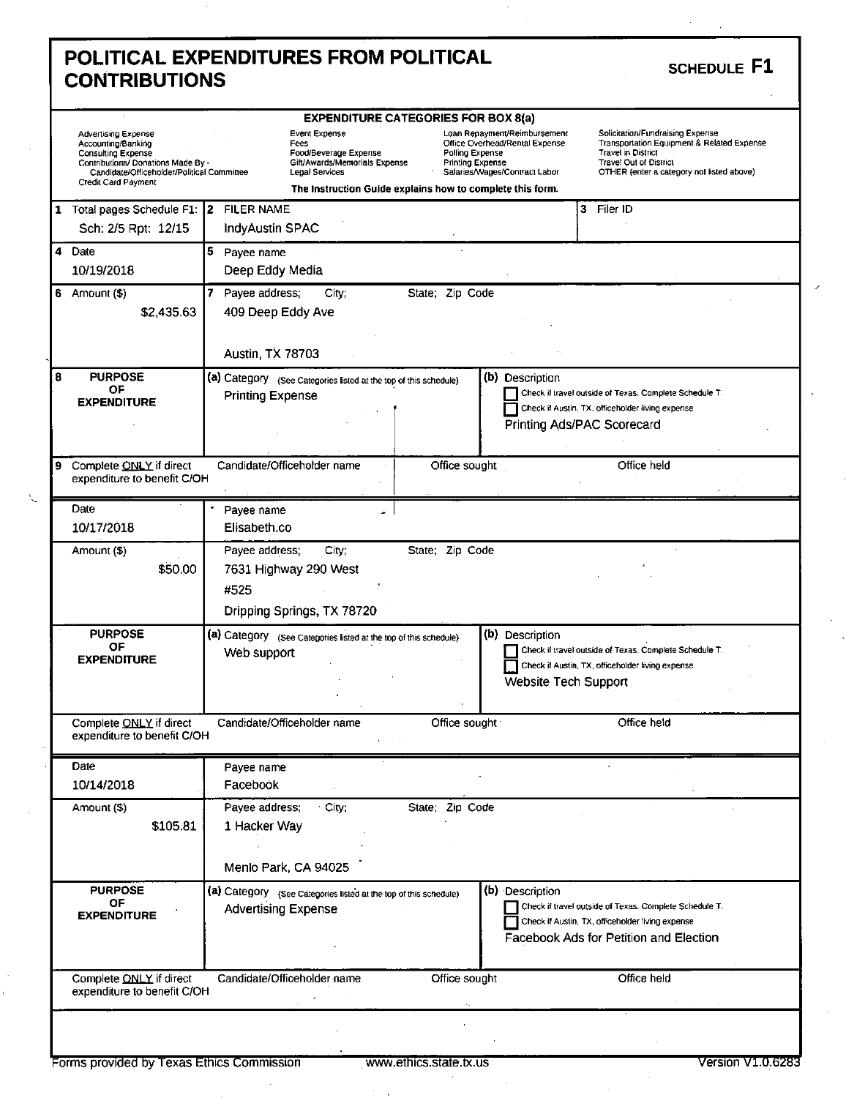|   | POLITICAL EXPENDITURES FROM POLITICAL<br><b>CONTRIBUTIONS</b>                                                                                                                     |   |                                      |                                                                                                                                                                                                                                                                                                                 |  |   | SCHEDULE F1                                                                                                                                                                               |  |  |
|---|-----------------------------------------------------------------------------------------------------------------------------------------------------------------------------------|---|--------------------------------------|-----------------------------------------------------------------------------------------------------------------------------------------------------------------------------------------------------------------------------------------------------------------------------------------------------------------|--|---|-------------------------------------------------------------------------------------------------------------------------------------------------------------------------------------------|--|--|
|   |                                                                                                                                                                                   |   |                                      |                                                                                                                                                                                                                                                                                                                 |  |   |                                                                                                                                                                                           |  |  |
|   | Advertising Expense<br>Accounting/Banking<br><b>Consulting Expense</b><br>Contributions/ Donations Made By -<br>Candidate/Officeholder/Political Committee<br>Credit Card Payment |   |                                      | Loan Repayment/Reimbursement<br>Event Expense<br>Office Overhead/Rental Expense<br>Fees<br>Polling Expense<br>Food/Beverage Expense<br>Gift/Awards/Memorials Expense<br><b>Printing Expense</b><br>Salaries/Wages/Contract Labor<br>Legal Services<br>The Instruction Guide explains how to complete this form. |  |   | Solicitation/Fundraising Expense<br>Transportation Equipment & Related Expense<br><b>Travel in District</b><br><b>Travel Out of District</b><br>OTHER (enter a category not listed above) |  |  |
| 1 | Total pages Schedule F1: 2<br>Sch: 2/5 Rpt: 12/15                                                                                                                                 |   | <b>FILER NAME</b><br>IndyAustin SPAC |                                                                                                                                                                                                                                                                                                                 |  | 3 | Filer ID                                                                                                                                                                                  |  |  |
| 4 | Date<br>10/19/2018                                                                                                                                                                | 5 | Payee name<br>Deep Eddy Media        |                                                                                                                                                                                                                                                                                                                 |  |   |                                                                                                                                                                                           |  |  |

### $S$ CHEDULE **F1**

|   | Contributions/ Donations Made By -<br>Candidate/Officeholder/Political Committee<br>Credit Card Payment | <b>Travel Out of District</b><br>Gift/Awards/Memorials Expense<br><b>Printing Expense</b><br>Salaries/Wages/Contract Labor<br>Legal Services<br>OTHER (enter a category not listed above)<br>The Instruction Guide explains how to complete this form. |  |
|---|---------------------------------------------------------------------------------------------------------|--------------------------------------------------------------------------------------------------------------------------------------------------------------------------------------------------------------------------------------------------------|--|
|   | 1 Total pages Schedule F1: 2                                                                            | <b>FILER NAME</b><br>3 Filer ID                                                                                                                                                                                                                        |  |
|   | Sch: 2/5 Rpt: 12/15                                                                                     | IndyAustin SPAC                                                                                                                                                                                                                                        |  |
|   | 4 Date                                                                                                  | 5.<br>Payee name                                                                                                                                                                                                                                       |  |
|   | 10/19/2018                                                                                              | Deep Eddy Media                                                                                                                                                                                                                                        |  |
| 6 | Amount (\$)                                                                                             | Payee address;<br>City;<br>State; Zip Code                                                                                                                                                                                                             |  |
|   | \$2,435.63                                                                                              | 409 Deep Eddy Ave                                                                                                                                                                                                                                      |  |
|   |                                                                                                         |                                                                                                                                                                                                                                                        |  |
|   |                                                                                                         | <b>Austin, TX 78703</b>                                                                                                                                                                                                                                |  |
| 8 | <b>PURPOSE</b>                                                                                          | (b) Description<br>(a) Category (See Categories listed at the top of this schedule)                                                                                                                                                                    |  |
|   | ΟF<br><b>EXPENDITURE</b>                                                                                | Check if travel outside of Texas. Complete Schedule T.<br><b>Printing Expense</b>                                                                                                                                                                      |  |
|   |                                                                                                         | Check if Austin, TX, officeholder living expense                                                                                                                                                                                                       |  |
|   |                                                                                                         | Printing Ads/PAC Scorecard                                                                                                                                                                                                                             |  |
|   |                                                                                                         |                                                                                                                                                                                                                                                        |  |
| 9 | Complete ONLY if direct<br>expenditure to benefit C/OH                                                  | Candidate/Officeholder name<br>Office sought<br>Office held                                                                                                                                                                                            |  |
|   | Date                                                                                                    | Payee name                                                                                                                                                                                                                                             |  |
|   | 10/17/2018                                                                                              | Elisabeth.co                                                                                                                                                                                                                                           |  |
|   | Amount (\$)                                                                                             | State; Zip Code<br>Payee address;<br>City;                                                                                                                                                                                                             |  |
|   | \$50.00                                                                                                 |                                                                                                                                                                                                                                                        |  |
|   |                                                                                                         | 7631 Highway 290 West                                                                                                                                                                                                                                  |  |
|   |                                                                                                         | #525                                                                                                                                                                                                                                                   |  |
|   |                                                                                                         | Dripping Springs, TX 78720                                                                                                                                                                                                                             |  |
|   | <b>PURPOSE</b>                                                                                          | (b) Description<br>(a) Category (See Categories listed at the top of this schedule)                                                                                                                                                                    |  |
|   | 0F<br><b>EXPENDITURE</b>                                                                                | Check if travel outside of Texas. Complete Schedule T.<br>Web support                                                                                                                                                                                  |  |
|   |                                                                                                         | Check if Austin, TX, officeholder living expense                                                                                                                                                                                                       |  |
|   |                                                                                                         | Website Tech Support                                                                                                                                                                                                                                   |  |
|   |                                                                                                         |                                                                                                                                                                                                                                                        |  |
|   | Complete ONLY if direct<br>expenditure to benefit C/OH                                                  | Candidate/Officeholder name<br>Office sought<br>Office held                                                                                                                                                                                            |  |
|   | Date                                                                                                    | Payee name                                                                                                                                                                                                                                             |  |
|   | 10/14/2018                                                                                              | Facebook                                                                                                                                                                                                                                               |  |
|   | Amount (\$)                                                                                             | Payee address;<br>City;<br>State; Zip Code                                                                                                                                                                                                             |  |
|   | \$105.81                                                                                                | 1 Hacker Way                                                                                                                                                                                                                                           |  |
|   |                                                                                                         |                                                                                                                                                                                                                                                        |  |
|   |                                                                                                         |                                                                                                                                                                                                                                                        |  |
|   |                                                                                                         | Menlo Park, CA 94025                                                                                                                                                                                                                                   |  |
|   | <b>PURPOSE</b>                                                                                          | (b) Description<br>(a) Category (See Categories listed at the top of this schedule)                                                                                                                                                                    |  |
|   | OF<br><b>EXPENDITURE</b>                                                                                | Check if travel outside of Texas. Complete Schedule T.<br><b>Advertising Expense</b>                                                                                                                                                                   |  |
|   |                                                                                                         | Check if Austin, TX, officeholder living expense                                                                                                                                                                                                       |  |
|   |                                                                                                         | Facebook Ads for Petition and Election                                                                                                                                                                                                                 |  |
|   |                                                                                                         |                                                                                                                                                                                                                                                        |  |
|   | Complete ONLY if direct<br>expenditure to benefit C/OH                                                  | Candidate/Officeholder name<br>Office sought<br>Office held                                                                                                                                                                                            |  |
|   |                                                                                                         |                                                                                                                                                                                                                                                        |  |

 $\cdot$ 

 $\cdot$  $\mathbf i$ 

 $\mathcal{A}$  .

 $\boldsymbol{\cdot}$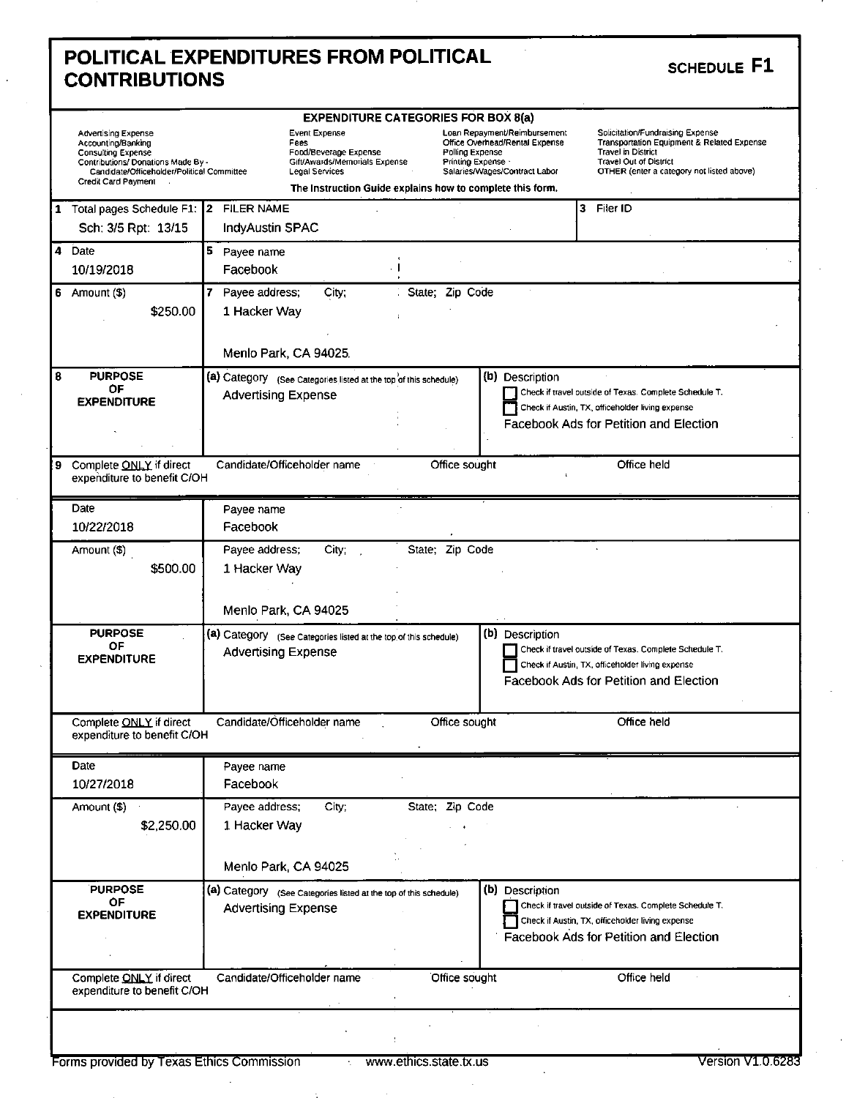| POLITICAL EXPENDITURES FROM POLITICAL | SCHEDULE F1 |
|---------------------------------------|-------------|
| <b>CONTRIBUTIONS</b>                  |             |

 $\overline{\phantom{a}}$ 

 $\sim$ 

| <b>EXPENDITURE CATEGORIES FOR BOX 8(a)</b> |                                                                                                                                                                                          |                            |                                                                                                                                                                                                                                                                                                            |                 |                 |                                                                                                                                                                                    |                                                                                                                                                      |  |
|--------------------------------------------|------------------------------------------------------------------------------------------------------------------------------------------------------------------------------------------|----------------------------|------------------------------------------------------------------------------------------------------------------------------------------------------------------------------------------------------------------------------------------------------------------------------------------------------------|-----------------|-----------------|------------------------------------------------------------------------------------------------------------------------------------------------------------------------------------|------------------------------------------------------------------------------------------------------------------------------------------------------|--|
|                                            | <b>Advertising Expense</b><br>Accounting/Banking<br><b>Consulting Expense</b><br>Contributions/ Donations Made By -<br>Candidate/Officeholder/Political Committee<br>Credit Card Payment |                            | Event Expense<br>Loan Repayment/Reimbursement<br>Office Overhead/Rental Expense<br>Fees<br>Polling Expense<br>Food/Beverage Expense<br>Gift/Awards/Memorials Expense<br>Printing Expense ·<br>Salaries/Wages/Contract Labor<br>Legal Services<br>The Instruction Guide explains how to complete this form. |                 |                 | Solicitation/Fundraising Expense<br>Transportation Equipment & Related Expense<br><b>Travel in District</b><br>Travel Out of District<br>OTHER (enter a category not listed above) |                                                                                                                                                      |  |
|                                            | 1 Total pages Schedule F1: 2                                                                                                                                                             | <b>FILER NAME</b>          |                                                                                                                                                                                                                                                                                                            |                 |                 |                                                                                                                                                                                    | 3 Filer ID                                                                                                                                           |  |
|                                            | Sch. 3/5 Rpt: 13/15                                                                                                                                                                      | IndyAustin SPAC            |                                                                                                                                                                                                                                                                                                            |                 |                 |                                                                                                                                                                                    |                                                                                                                                                      |  |
| 4                                          | Date                                                                                                                                                                                     | 5 Payee name               |                                                                                                                                                                                                                                                                                                            |                 |                 |                                                                                                                                                                                    |                                                                                                                                                      |  |
|                                            | 10/19/2018                                                                                                                                                                               | Facebook                   |                                                                                                                                                                                                                                                                                                            |                 |                 |                                                                                                                                                                                    |                                                                                                                                                      |  |
| 6                                          | Amount (\$)                                                                                                                                                                              | 7<br>Payee address;        | City,                                                                                                                                                                                                                                                                                                      | State; Zip Code |                 |                                                                                                                                                                                    |                                                                                                                                                      |  |
|                                            | \$250.00                                                                                                                                                                                 | 1 Hacker Way               |                                                                                                                                                                                                                                                                                                            |                 |                 |                                                                                                                                                                                    |                                                                                                                                                      |  |
|                                            |                                                                                                                                                                                          |                            |                                                                                                                                                                                                                                                                                                            |                 |                 |                                                                                                                                                                                    |                                                                                                                                                      |  |
|                                            |                                                                                                                                                                                          |                            | Menlo Park, CA 94025.                                                                                                                                                                                                                                                                                      |                 |                 |                                                                                                                                                                                    |                                                                                                                                                      |  |
| 8                                          | <b>PURPOSE</b>                                                                                                                                                                           |                            | (a) Category (See Categories listed at the top of this schedule)                                                                                                                                                                                                                                           |                 | (b) Description |                                                                                                                                                                                    |                                                                                                                                                      |  |
|                                            | ΟF                                                                                                                                                                                       | <b>Advertising Expense</b> |                                                                                                                                                                                                                                                                                                            |                 |                 |                                                                                                                                                                                    | Check if travel outside of Texas. Complete Schedule T.                                                                                               |  |
|                                            | <b>EXPENDITURE</b>                                                                                                                                                                       |                            |                                                                                                                                                                                                                                                                                                            |                 |                 |                                                                                                                                                                                    | Check if Austin, TX, officeholder living expense                                                                                                     |  |
|                                            |                                                                                                                                                                                          |                            |                                                                                                                                                                                                                                                                                                            |                 |                 |                                                                                                                                                                                    | Facebook Ads for Petition and Election                                                                                                               |  |
|                                            |                                                                                                                                                                                          |                            |                                                                                                                                                                                                                                                                                                            |                 |                 |                                                                                                                                                                                    |                                                                                                                                                      |  |
| 9                                          | Complete ONLY if direct<br>expenditure to benefit C/OH                                                                                                                                   |                            | Candidate/Officeholder name                                                                                                                                                                                                                                                                                | Office sought   |                 |                                                                                                                                                                                    | Office held                                                                                                                                          |  |
|                                            | Date                                                                                                                                                                                     | Payee name                 |                                                                                                                                                                                                                                                                                                            |                 |                 |                                                                                                                                                                                    |                                                                                                                                                      |  |
|                                            | 10/22/2018                                                                                                                                                                               | Facebook                   |                                                                                                                                                                                                                                                                                                            |                 |                 |                                                                                                                                                                                    |                                                                                                                                                      |  |
|                                            | Amount (\$)                                                                                                                                                                              | Payee address;             | City:                                                                                                                                                                                                                                                                                                      | State; Zip Code |                 |                                                                                                                                                                                    |                                                                                                                                                      |  |
|                                            | \$500.00                                                                                                                                                                                 | 1 Hacker Way               |                                                                                                                                                                                                                                                                                                            |                 |                 |                                                                                                                                                                                    |                                                                                                                                                      |  |
|                                            | <b>PURPOSE</b>                                                                                                                                                                           |                            | Menlo Park, CA 94025<br>(a) Category (See Categories listed at the top of this schedule)                                                                                                                                                                                                                   |                 | (b) Description |                                                                                                                                                                                    |                                                                                                                                                      |  |
|                                            | ΟF<br><b>EXPENDITURE</b>                                                                                                                                                                 | <b>Advertising Expense</b> |                                                                                                                                                                                                                                                                                                            |                 |                 |                                                                                                                                                                                    | Check if travel outside of Texas. Complete Schedule T.<br>Check if Austin, TX, officeholder living expense<br>Facebook Ads for Petition and Election |  |
|                                            | Complete ONLY if direct<br>expenditure to benefit C/OH                                                                                                                                   |                            | Candidate/Officeholder name                                                                                                                                                                                                                                                                                | Office sought   |                 |                                                                                                                                                                                    | Office held                                                                                                                                          |  |
|                                            | Date                                                                                                                                                                                     | Payee name                 |                                                                                                                                                                                                                                                                                                            |                 |                 |                                                                                                                                                                                    |                                                                                                                                                      |  |
|                                            | 10/27/2018                                                                                                                                                                               | Facebook                   |                                                                                                                                                                                                                                                                                                            |                 |                 |                                                                                                                                                                                    |                                                                                                                                                      |  |
|                                            | Amount (\$)                                                                                                                                                                              | Payee address;             | City;                                                                                                                                                                                                                                                                                                      | State; Zip Code |                 |                                                                                                                                                                                    |                                                                                                                                                      |  |
|                                            | \$2,250.00                                                                                                                                                                               | 1 Hacker Way               |                                                                                                                                                                                                                                                                                                            |                 |                 |                                                                                                                                                                                    |                                                                                                                                                      |  |
|                                            |                                                                                                                                                                                          |                            |                                                                                                                                                                                                                                                                                                            |                 |                 |                                                                                                                                                                                    |                                                                                                                                                      |  |
|                                            |                                                                                                                                                                                          |                            | Menlo Park, CA 94025                                                                                                                                                                                                                                                                                       |                 |                 |                                                                                                                                                                                    |                                                                                                                                                      |  |
|                                            | <b>PURPOSE</b><br>OF<br><b>EXPENDITURE</b>                                                                                                                                               | <b>Advertising Expense</b> | (a) Category (See Categories listed at the top of this schedule)                                                                                                                                                                                                                                           |                 | (b) Description |                                                                                                                                                                                    | Check if travel outside of Texas. Complete Schedule T.<br>Check if Austin, TX, officeholder living expense<br>Facebook Ads for Petition and Election |  |
|                                            | Complete ONLY if direct<br>expenditure to benefit C/OH                                                                                                                                   |                            | Candidate/Officeholder name                                                                                                                                                                                                                                                                                | Office sought   |                 |                                                                                                                                                                                    | Office held                                                                                                                                          |  |
|                                            |                                                                                                                                                                                          |                            |                                                                                                                                                                                                                                                                                                            |                 |                 |                                                                                                                                                                                    |                                                                                                                                                      |  |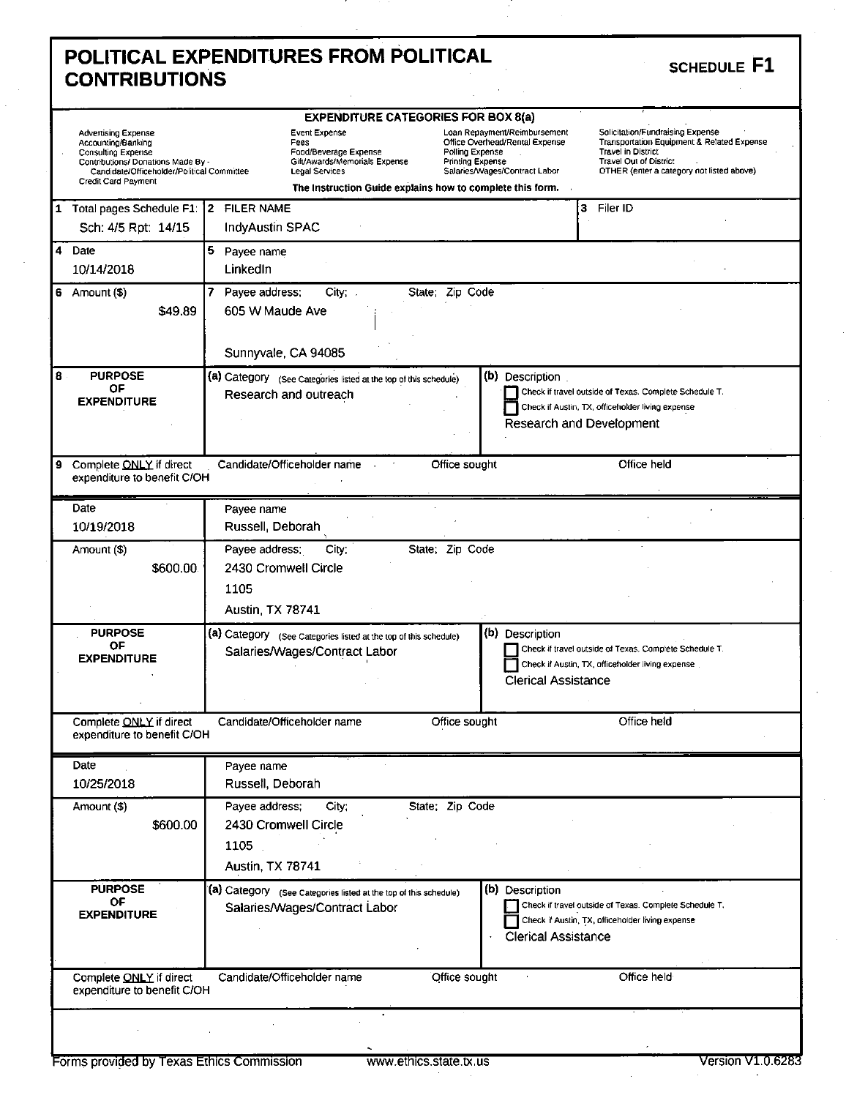### **POLITICAL EXPENDITURES FROM POLITICAL**<br> **SCHEDULE**<br> **POLITICAL CONTRIBUTIONS**

|   | <b>Advertising Expense</b><br>Accounting/Banking<br><b>Consulting Expense</b><br>Contributions/ Donations Made By -<br>Candidate/Officeholder/Political Committee<br>Credit Card Payment | <b>EXPENDITURE CATEGORIES FOR BOX 8(a)</b><br>Loan Repayment/Reimbursement<br>Solicitation/Fundraising Expense<br>Event Expense<br>Office Overhead/Rental Expense<br>Transportation Equipment & Related Expense<br>Fees<br><b>Travel in District</b><br>Polling Expense<br>Food/Beverage Expense<br>Gift/Awards/Memorials Expense<br>Printing Expense<br><b>Travel Out of District</b><br>Legal Services<br>Salaries/Wages/Contract Labor<br>OTHER (enter a category not listed above)<br>The Instruction Guide explains how to complete this form. |
|---|------------------------------------------------------------------------------------------------------------------------------------------------------------------------------------------|-----------------------------------------------------------------------------------------------------------------------------------------------------------------------------------------------------------------------------------------------------------------------------------------------------------------------------------------------------------------------------------------------------------------------------------------------------------------------------------------------------------------------------------------------------|
| 1 | Total pages Schedule F1: 2                                                                                                                                                               | <b>FILER NAME</b><br>Filer ID<br>3                                                                                                                                                                                                                                                                                                                                                                                                                                                                                                                  |
|   | Sch: 4/5 Rpt: 14/15                                                                                                                                                                      | <b>IndyAustin SPAC</b>                                                                                                                                                                                                                                                                                                                                                                                                                                                                                                                              |
| 4 | Date<br>10/14/2018                                                                                                                                                                       | 5.<br>Payee name<br>LinkedIn                                                                                                                                                                                                                                                                                                                                                                                                                                                                                                                        |
| 6 | Amount (\$)<br>\$49.89                                                                                                                                                                   | Payee address;<br>State; Zip Code<br>$City;$ .<br>605 W Maude Ave<br>Sunnyvale, CA 94085                                                                                                                                                                                                                                                                                                                                                                                                                                                            |
| 8 | <b>PURPOSE</b><br>OF<br><b>EXPENDITURE</b>                                                                                                                                               | (b) Description<br>(a) Category (See Categories listed at the top of this schedule)<br>Check if travel outside of Texas. Complete Schedule T.<br>Research and outreach<br>Check if Austin, TX, officeholder living expense<br>Research and Development                                                                                                                                                                                                                                                                                              |
| 9 | Complete ONLY if direct<br>expenditure to benefit C/OH                                                                                                                                   | Office held<br>Candidate/Officeholder name<br>Office sought                                                                                                                                                                                                                                                                                                                                                                                                                                                                                         |
|   | Date<br>10/19/2018                                                                                                                                                                       | Payee name<br>Russell, Deborah                                                                                                                                                                                                                                                                                                                                                                                                                                                                                                                      |
|   | Amount (\$)<br>\$600.00                                                                                                                                                                  | Payee address;<br>City:<br>State; Zip Code<br>2430 Cromwell Circle<br>1105<br><b>Austin, TX 78741</b>                                                                                                                                                                                                                                                                                                                                                                                                                                               |
|   | <b>PURPOSE</b><br><b>OF</b><br><b>EXPENDITURE</b>                                                                                                                                        | (b) Description<br>(a) Category (See Categories listed at the top of this schedule)<br>Check if travel outside of Texas. Complete Schedule T.<br>Salaries/Wages/Contract Labor<br>Check if Austin, TX, officeholder living expense<br><b>Clerical Assistance</b>                                                                                                                                                                                                                                                                                    |
|   | Complete ONLY if direct<br>expenditure to benefit C/OH                                                                                                                                   | Candidate/Officeholder name<br>Office sought<br>Office held                                                                                                                                                                                                                                                                                                                                                                                                                                                                                         |
|   | Date<br>10/25/2018                                                                                                                                                                       | Payee name<br>Russell, Deborah                                                                                                                                                                                                                                                                                                                                                                                                                                                                                                                      |
|   | Amount (\$)<br>\$600.00                                                                                                                                                                  | State; Zip Code<br>Payee address;<br>City;<br>2430 Cromwell Circle<br>1105<br><b>Austin, TX 78741</b>                                                                                                                                                                                                                                                                                                                                                                                                                                               |
|   | <b>PURPOSE</b><br>OF<br><b>EXPENDITURE</b>                                                                                                                                               | (b) Description<br>(a) Category (See Categories listed at the top of this schedule)<br>Check if travel outside of Texas. Complete Schedule T.<br>Salaries/Wages/Contract Labor<br>Check if Austin, TX, officeholder living expense<br><b>Clerical Assistance</b>                                                                                                                                                                                                                                                                                    |
|   | Complete ONLY if direct<br>expenditure to benefit C/OH                                                                                                                                   | Candidate/Officeholder name<br>Office held<br>Office sought                                                                                                                                                                                                                                                                                                                                                                                                                                                                                         |
|   |                                                                                                                                                                                          |                                                                                                                                                                                                                                                                                                                                                                                                                                                                                                                                                     |